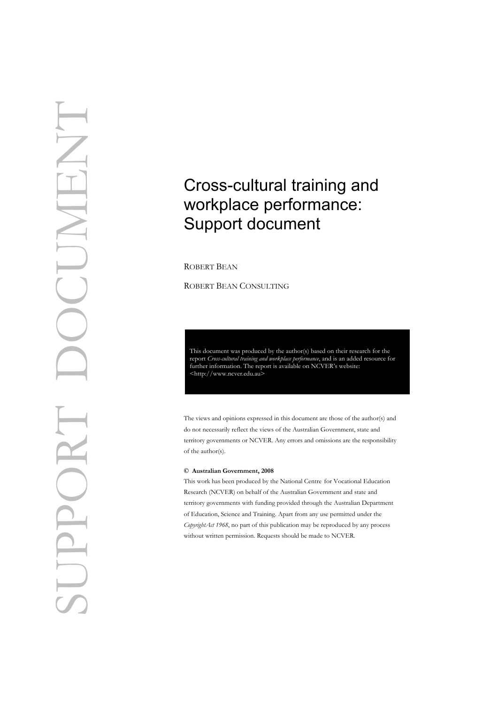## Cross-cultural training and workplace performance: Support document

ROBERT BEAN

ROBERT BEAN CONSULTING

This document was produced by the author(s) based on their research for the report *Cross-cultural training and workplace performance*, and is an added resource for f[urther in](http://www.ncver.edu.au/pubs.htm)formation. The report is available on NCVER's website:<br>  $\langle \text{http://www.ncver.edu.au>}\rangle$ 

The views and opinions expressed in this document are those of the author(s) and do not necessarily reflect the views of the Australian Government, state and territory governments or NCVER. Any errors and omissions are the responsibility of the author(s).

#### **© Australian Government, 2008**

This work has been produced by the National Centre for Vocational Education Research (NCVER) on behalf of the Australian Government and state and territory governments with funding provided through the Australian Department of Education, Science and Training. Apart from any use permitted under the *CopyrightAct 1968*, no part of this publication may be reproduced by any process without written permission. Requests should be made to NCVER.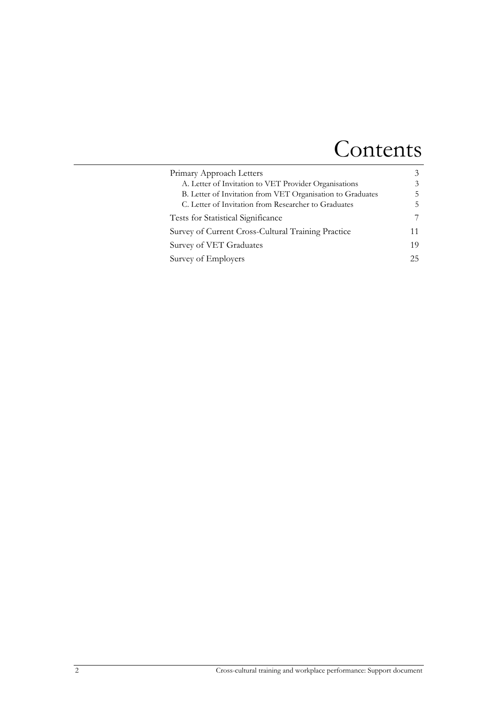## Contents

| Primary Approach Letters                                   | $\mathcal{Z}$ |
|------------------------------------------------------------|---------------|
| A. Letter of Invitation to VET Provider Organisations      | 3             |
| B. Letter of Invitation from VET Organisation to Graduates | 5             |
| C. Letter of Invitation from Researcher to Graduates       | 5             |
| Tests for Statistical Significance                         | 7             |
| Survey of Current Cross-Cultural Training Practice         | 11            |
| Survey of VET Graduates                                    | 19            |
| Survey of Employers                                        | 25            |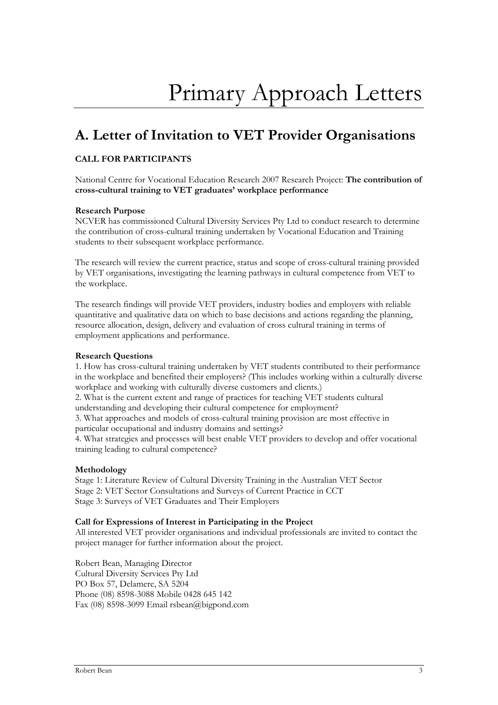## <span id="page-2-1"></span><span id="page-2-0"></span>**A. Letter of Invitation to VET Provider Organisations**

### **CALL FOR PARTICIPANTS**

National Centre for Vocational Education Research 2007 Research Project: **The contribution of cross-cultural training to VET graduates' workplace performance** 

#### **Research Purpose**

NCVER has commissioned Cultural Diversity Services Pty Ltd to conduct research to determine the contribution of cross-cultural training undertaken by Vocational Education and Training students to their subsequent workplace performance.

The research will review the current practice, status and scope of cross-cultural training provided by VET organisations, investigating the learning pathways in cultural competence from VET to the workplace.

The research findings will provide VET providers, industry bodies and employers with reliable quantitative and qualitative data on which to base decisions and actions regarding the planning, resource allocation, design, delivery and evaluation of cross cultural training in terms of employment applications and performance.

#### **Research Questions**

1. How has cross-cultural training undertaken by VET students contributed to their performance in the workplace and benefited their employers? (This includes working within a culturally diverse workplace and working with culturally diverse customers and clients.)

2. What is the current extent and range of practices for teaching VET students cultural understanding and developing their cultural competence for employment?

3. What approaches and models of cross-cultural training provision are most effective in particular occupational and industry domains and settings?

4. What strategies and processes will best enable VET providers to develop and offer vocational training leading to cultural competence?

#### **Methodology**

Stage 1: Literature Review of Cultural Diversity Training in the Australian VET Sector Stage 2: VET Sector Consultations and Surveys of Current Practice in CCT Stage 3: Surveys of VET Graduates and Their Employers

#### **Call for Expressions of Interest in Participating in the Project**

All interested VET provider organisations and individual professionals are invited to contact the project manager for further information about the project.

Robert Bean, Managing Director Cultural Diversity Services Pty Ltd PO Box 57, Delamere, SA 5204 Phone (08) 8598-3088 Mobile 0428 645 142 Fax (08) 8598-3099 Email rsbean@bigpond.com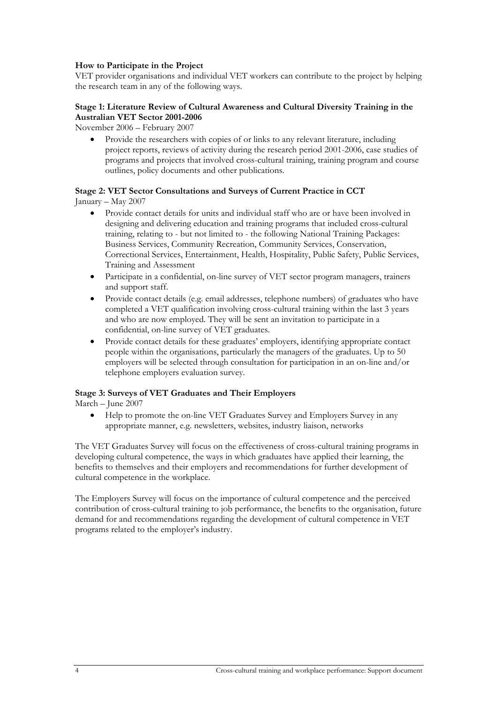#### **How to Participate in the Project**

VET provider organisations and individual VET workers can contribute to the project by helping the research team in any of the following ways.

#### **Stage 1: Literature Review of Cultural Awareness and Cultural Diversity Training in the Australian VET Sector 2001-2006**

November 2006 – February 2007

• Provide the researchers with copies of or links to any relevant literature, including project reports, reviews of activity during the research period 2001-2006, case studies of programs and projects that involved cross-cultural training, training program and course outlines, policy documents and other publications.

#### **Stage 2: VET Sector Consultations and Surveys of Current Practice in CCT**  January – May 2007

- Provide contact details for units and individual staff who are or have been involved in designing and delivering education and training programs that included cross-cultural training, relating to - but not limited to - the following National Training Packages: Business Services, Community Recreation, Community Services, Conservation, Correctional Services, Entertainment, Health, Hospitality, Public Safety, Public Services, Training and Assessment
- Participate in a confidential, on-line survey of VET sector program managers, trainers and support staff.
- Provide contact details (e.g. email addresses, telephone numbers) of graduates who have completed a VET qualification involving cross-cultural training within the last 3 years and who are now employed. They will be sent an invitation to participate in a confidential, on-line survey of VET graduates.
- Provide contact details for these graduates' employers, identifying appropriate contact people within the organisations, particularly the managers of the graduates. Up to 50 employers will be selected through consultation for participation in an on-line and/or telephone employers evaluation survey.

#### **Stage 3: Surveys of VET Graduates and Their Employers**

March – June 2007

• Help to promote the on-line VET Graduates Survey and Employers Survey in any appropriate manner, e.g. newsletters, websites, industry liaison, networks

The VET Graduates Survey will focus on the effectiveness of cross-cultural training programs in developing cultural competence, the ways in which graduates have applied their learning, the benefits to themselves and their employers and recommendations for further development of cultural competence in the workplace.

The Employers Survey will focus on the importance of cultural competence and the perceived contribution of cross-cultural training to job performance, the benefits to the organisation, future demand for and recommendations regarding the development of cultural competence in VET programs related to the employer's industry.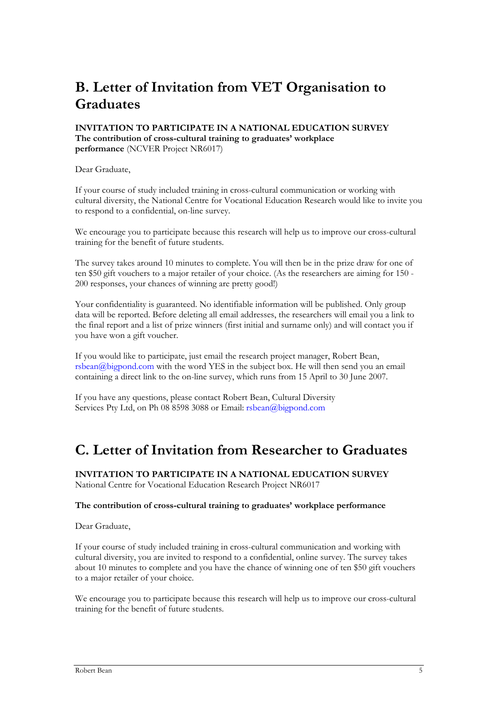## <span id="page-4-0"></span>**B. Letter of Invitation from VET Organisation to Graduates**

#### **INVITATION TO PARTICIPATE IN A NATIONAL EDUCATION SURVEY The contribution of cross-cultural training to graduates' workplace performance** (NCVER Project NR6017)

Dear Graduate,

If your course of study included training in cross-cultural communication or working with cultural diversity, the National Centre for Vocational Education Research would like to invite you to respond to a confidential, on-line survey.

We encourage you to participate because this research will help us to improve our cross-cultural training for the benefit of future students.

The survey takes around 10 minutes to complete. You will then be in the prize draw for one of ten \$50 gift vouchers to a major retailer of your choice. (As the researchers are aiming for 150 - 200 responses, your chances of winning are pretty good!)

Your confidentiality is guaranteed. No identifiable information will be published. Only group data will be reported. Before deleting all email addresses, the researchers will email you a link to the final report and a list of prize winners (first initial and surname only) and will contact you if you have won a gift voucher.

If you would like to participate, just email the research project manager, Robert Bean, rsbean@bigpond.com with the word YES in the subject box. He will then send you an email containing a direct link to the on-line survey, which runs from 15 April to 30 June 2007.

If you have any questions, please contact Robert Bean, Cultural Diversity Services Pty Ltd, on Ph 08 8598 3088 or Email: rsbean@bigpond.com

### <span id="page-4-1"></span>**C. Letter of Invitation from Researcher to Graduates**

**INVITATION TO PARTICIPATE IN A NATIONAL EDUCATION SURVEY**  National Centre for Vocational Education Research Project NR6017

#### **The contribution of cross-cultural training to graduates' workplace performance**

Dear Graduate,

If your course of study included training in cross-cultural communication and working with cultural diversity, you are invited to respond to a confidential, online survey. The survey takes about 10 minutes to complete and you have the chance of winning one of ten \$50 gift vouchers to a major retailer of your choice.

We encourage you to participate because this research will help us to improve our cross-cultural training for the benefit of future students.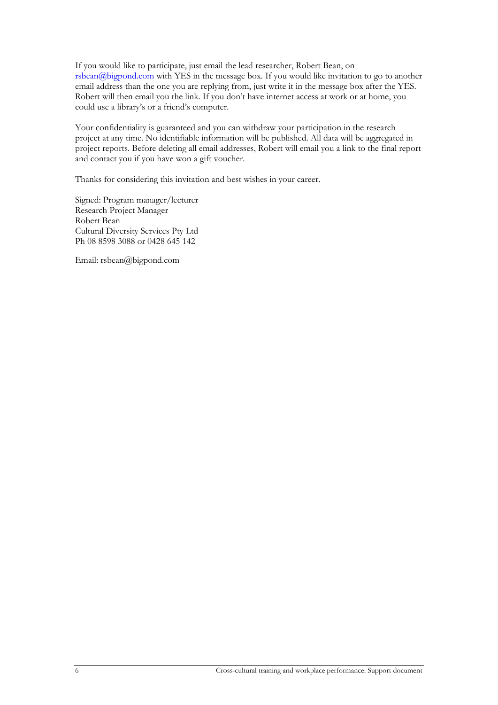If you would like to participate, just email the lead researcher, Robert Bean, on rsbean@bigpond.com with YES in the message box. If you would like invitation to go to another email address than the one you are replying from, just write it in the message box after the YES. Robert will then email you the link. If you don't have internet access at work or at home, you could use a library's or a friend's computer.

Your confidentiality is guaranteed and you can withdraw your participation in the research project at any time. No identifiable information will be published. All data will be aggregated in project reports. Before deleting all email addresses, Robert will email you a link to the final report and contact you if you have won a gift voucher.

Thanks for considering this invitation and best wishes in your career.

Signed: Program manager/lecturer Research Project Manager Robert Bean Cultural Diversity Services Pty Ltd Ph 08 8598 3088 or 0428 645 142

Email: rsbean@bigpond.com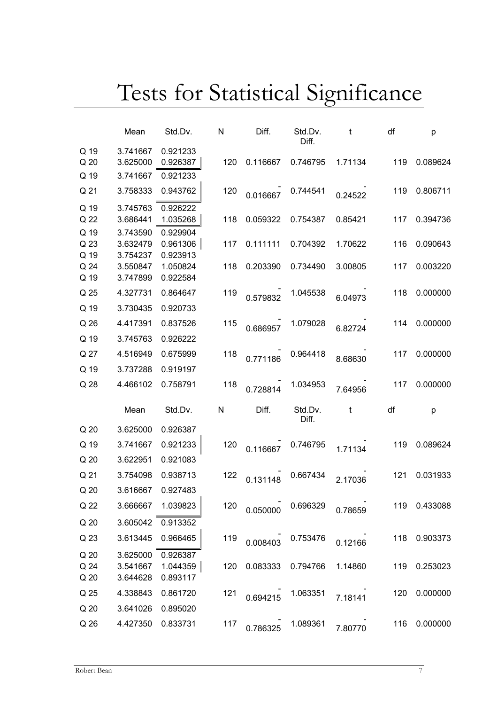# Tests for Statistical Significance

<span id="page-6-0"></span>

|                         | Mean                 | Std.Dv.              | N   | Diff.    | Std.Dv.<br>Diff. | t       | df  | р            |
|-------------------------|----------------------|----------------------|-----|----------|------------------|---------|-----|--------------|
| Q 19                    | 3.741667             | 0.921233             | 120 |          |                  |         | 119 |              |
| Q <sub>20</sub><br>Q 19 | 3.625000<br>3.741667 | 0.926387<br>0.921233 |     | 0.116667 | 0.746795         | 1.71134 |     | 0.089624     |
| Q 21                    | 3.758333             | 0.943762             | 120 | 0.016667 | 0.744541         | 0.24522 | 119 | 0.806711     |
| Q 19                    | 3.745763             | 0.926222             |     |          |                  |         |     |              |
| Q 22                    | 3.686441             | 1.035268             | 118 | 0.059322 | 0.754387         | 0.85421 | 117 | 0.394736     |
| Q 19                    | 3.743590             | 0.929904             |     |          |                  |         |     |              |
| Q 23<br>Q 19            | 3.632479<br>3.754237 | 0.961306<br>0.923913 | 117 | 0.111111 | 0.704392         | 1.70622 | 116 | 0.090643     |
| Q 24                    | 3.550847             | 1.050824             | 118 | 0.203390 | 0.734490         | 3.00805 | 117 | 0.003220     |
| Q 19                    | 3.747899             | 0.922584             |     |          |                  |         |     |              |
| Q 25                    | 4.327731             | 0.864647             | 119 | 0.579832 | 1.045538         | 6.04973 | 118 | 0.000000     |
| Q 19                    | 3.730435             | 0.920733             |     |          |                  |         |     |              |
| Q 26                    | 4.417391             | 0.837526             | 115 | 0.686957 | 1.079028         | 6.82724 | 114 | 0.000000     |
| Q 19                    | 3.745763             | 0.926222             |     |          |                  |         |     |              |
| Q 27                    | 4.516949             | 0.675999             | 118 | 0.771186 | 0.964418         | 8.68630 | 117 | 0.000000     |
| Q 19                    | 3.737288             | 0.919197             |     |          |                  |         |     |              |
| Q 28                    | 4.466102             | 0.758791             | 118 | 0.728814 | 1.034953         | 7.64956 | 117 | 0.000000     |
|                         | Mean                 | Std.Dv.              | N   | Diff.    | Std.Dv.<br>Diff. | t       | df  | p            |
| Q 20                    | 3.625000             | 0.926387             |     |          |                  |         |     |              |
| Q 19                    | 3.741667             | 0.921233             | 120 | 0.116667 | 0.746795         | 1.71134 | 119 | 0.089624     |
| Q 20                    | 3.622951             | 0.921083             |     |          |                  |         |     |              |
| Q 21                    | 3.754098             | 0.938713             | 122 | 0.131148 | 0.667434         | 2.17036 | 121 | 0.031933     |
| Q 20                    | 3.616667             | 0.927483             |     |          |                  |         |     |              |
| Q 22                    | 3.666667             | 1.039823             | 120 | 0.050000 | 0.696329         | 0.78659 |     | 119 0.433088 |
| Q <sub>20</sub>         | 3.605042             | 0.913352             |     |          |                  |         |     |              |
| Q 23                    | 3.613445             | 0.966465             | 119 | 0.008403 | 0.753476         | 0.12166 | 118 | 0.903373     |
| Q <sub>20</sub>         | 3.625000             | 0.926387             |     |          |                  |         |     |              |
| Q 24                    | 3.541667             | 1.044359             | 120 | 0.083333 | 0.794766         | 1.14860 | 119 | 0.253023     |
| Q <sub>20</sub>         | 3.644628             | 0.893117             |     |          |                  |         |     |              |
| Q 25                    | 4.338843             | 0.861720             | 121 | 0.694215 | 1.063351         | 7.18141 | 120 | 0.000000     |
| Q 20                    |                      | 0.895020             |     |          |                  |         |     |              |
| Q 26                    | 3.641026<br>4.427350 | 0.833731             | 117 |          | 1.089361         |         | 116 | 0.000000     |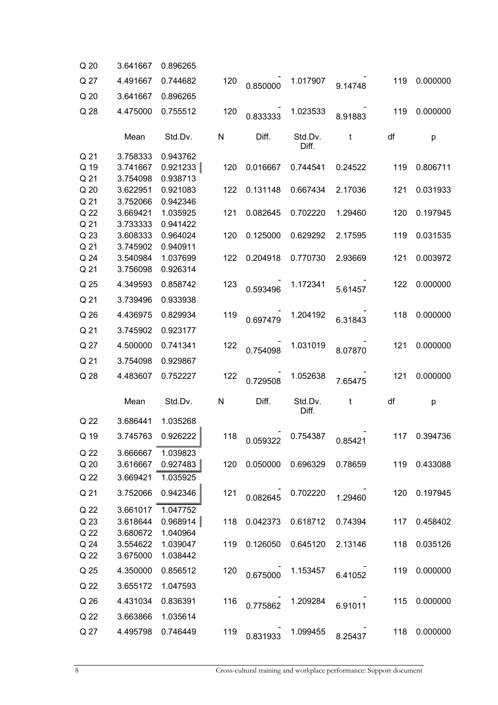| Q <sub>20</sub>      | 3.641667                         | 0.896265                         |     |          |                         |         |     |                        |
|----------------------|----------------------------------|----------------------------------|-----|----------|-------------------------|---------|-----|------------------------|
| Q 27                 | 4.491667                         | 0.744682                         | 120 | 0.850000 | 1.017907                | 9.14748 | 119 | 0.000000               |
| Q 20                 | 3.641667                         | 0.896265                         |     |          |                         |         |     |                        |
| Q 28                 | 4.475000                         | 0.755512                         | 120 | 0.833333 | 1.023533                | 8.91883 | 119 | 0.000000               |
|                      | Mean                             | Std.Dv.                          | N   | Diff.    | Std.Dv.<br>Diff.        | t       | df  | p                      |
| Q 21<br>Q 19<br>Q 21 | 3.758333<br>3.741667<br>3.754098 | 0.943762<br>0.921233<br>0.938713 | 120 | 0.016667 | 0.744541                | 0.24522 | 119 | 0.806711               |
| Q 20<br>Q 21         | 3.622951                         | 0.921083                         | 122 | 0.131148 | 0.667434                | 2.17036 | 121 | 0.031933               |
| Q 22<br>Q 21         | 3.752066<br>3.669421<br>3.733333 | 0.942346<br>1.035925<br>0.941422 | 121 | 0.082645 | 0.702220                | 1.29460 | 120 | 0.197945               |
| Q 23<br>Q 21         | 3.608333<br>3.745902             | 0.964024<br>0.940911             | 120 | 0.125000 | 0.629292                | 2.17595 | 119 | 0.031535               |
| Q 24<br>Q 21         | 3.540984<br>3.756098             | 1.037699<br>0.926314             | 122 | 0.204918 | 0.770730                | 2.93669 | 121 | 0.003972               |
| Q 25                 | 4.349593                         | 0.858742                         | 123 | 0.593496 | 1.172341                | 5.61457 | 122 | 0.000000               |
| Q 21<br>Q 26         | 3.739496<br>4.436975             | 0.933938<br>0.829934             | 119 | 0.697479 | 1.204192                | 6.31843 | 118 | 0.000000               |
| Q 21                 | 3.745902                         | 0.923177                         |     |          |                         |         |     |                        |
| Q 27<br>Q 21         | 4.500000<br>3.754098             | 0.741341<br>0.929867             | 122 | 0.754098 | 1.031019                | 8.07870 | 121 | 0.000000               |
| Q 28                 | 4.483607                         | 0.752227                         | 122 | 0.729508 | 1.052638                | 7.65475 | 121 | 0.000000               |
|                      | Mean                             | Std.Dv.                          | N   | Diff.    | Std.Dv.<br>Diff.        | t       | df  | p                      |
| Q 22                 | 3.686441                         | 1.035268                         |     |          |                         |         |     |                        |
| Q 19                 | 3.745763                         | 0.926222                         |     |          | $118$ 0.059322 0.754387 |         |     | $0.85421$ 117 0.394736 |
| Q 22<br>Q 20         | 3.666667<br>3.616667             | 1.039823<br>0.927483             | 120 | 0.050000 | 0.696329                | 0.78659 |     | 119 0.433088           |
| Q 22<br>Q 21         | 3.669421<br>3.752066             | 1.035925<br>0.942346             | 121 | 0.082645 | 0.702220                | 1.29460 | 120 | 0.197945               |
| Q 22<br>Q 23         | 3.661017<br>3.618644             | 1.047752<br>0.968914             | 118 | 0.042373 | 0.618712                | 0.74394 | 117 | 0.458402               |
| Q 22<br>Q 24<br>Q 22 | 3.680672<br>3.554622<br>3.675000 | 1.040964<br>1.039047<br>1.038442 | 119 | 0.126050 | 0.645120                | 2.13146 | 118 | 0.035126               |
| Q 25                 | 4.350000                         | 0.856512                         | 120 | 0.675000 | 1.153457                | 6.41052 | 119 | 0.000000               |
| Q 22                 | 3.655172                         | 1.047593                         |     |          |                         |         |     |                        |
| Q 26                 | 4.431034                         | 0.836391                         | 116 | 0.775862 | 1.209284                | 6.91011 | 115 | 0.000000               |
| Q 22<br>Q 27         | 3.663866<br>4.495798             | 1.035614<br>0.746449             | 119 | 0.831933 | 1.099455                | 8.25437 | 118 | 0.000000               |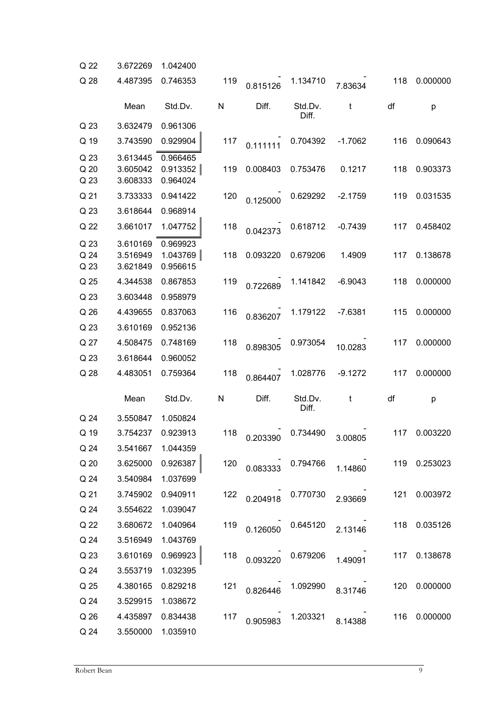| Q 22                 | 3.672269                         | 1.042400                         |           |                         |                         |           |     |              |
|----------------------|----------------------------------|----------------------------------|-----------|-------------------------|-------------------------|-----------|-----|--------------|
| Q 28                 | 4.487395                         | 0.746353                         | 119       | 0.815126                | 1.134710                | 7.83634   | 118 | 0.000000     |
|                      | Mean                             | Std.Dv.                          | N         | Diff.                   | Std.Dv.<br>Diff.        | t         | df  | p            |
| Q 23                 | 3.632479                         | 0.961306                         |           |                         |                         |           |     |              |
| Q 19                 | 3.743590                         | 0.929904                         | 117       | 0.111111                | 0.704392                | $-1.7062$ | 116 | 0.090643     |
| Q 23<br>Q 20<br>Q 23 | 3.613445<br>3.605042<br>3.608333 | 0.966465<br>0.913352<br>0.964024 | 119       | 0.008403                | 0.753476                | 0.1217    | 118 | 0.903373     |
| Q 21                 | 3.733333                         | 0.941422                         | 120       | 0.125000                | 0.629292                | $-2.1759$ | 119 | 0.031535     |
| Q 23                 | 3.618644                         | 0.968914                         |           |                         |                         |           |     |              |
| Q 22                 | 3.661017                         | 1.047752                         | 118       | 0.042373                | 0.618712                | $-0.7439$ | 117 | 0.458402     |
| Q 23<br>Q 24<br>Q 23 | 3.610169<br>3.516949<br>3.621849 | 0.969923<br>1.043769<br>0.956615 | 118       | 0.093220                | 0.679206                | 1.4909    | 117 | 0.138678     |
| Q 25                 | 4.344538                         | 0.867853                         | 119       | 0.722689                | 1.141842                | $-6.9043$ | 118 | 0.000000     |
| Q 23                 | 3.603448                         | 0.958979                         |           |                         |                         |           |     |              |
| Q 26                 | 4.439655                         | 0.837063                         | 116       | 0.836207                | 1.179122                | $-7.6381$ | 115 | 0.000000     |
| Q 23                 | 3.610169                         | 0.952136                         |           |                         |                         |           |     |              |
| Q 27                 | 4.508475                         | 0.748169                         | 118       | 0.898305                | 0.973054                | 10.0283   | 117 | 0.000000     |
| Q 23                 | 3.618644                         | 0.960052                         |           |                         |                         |           |     |              |
| Q 28                 | 4.483051                         | 0.759364                         | 118       | 0.864407                | 1.028776                | $-9.1272$ | 117 | 0.000000     |
|                      | Mean                             | Std.Dv.                          | ${\sf N}$ | Diff.                   | Std.Dv.<br>Diff.        | t         | df  | p            |
| Q 24                 | 3.550847                         | 1.050824                         |           |                         |                         |           |     |              |
| Q 19                 | 3.754237                         | 0.923913                         | 118       | 0.203390                | 0.734490                | 3.00805   | 117 | 0.003220     |
| Q <sub>24</sub>      | 3.541667 1.044359                |                                  |           |                         |                         |           |     |              |
|                      | Q 20 3.625000                    | 0.926387                         |           | 120  0.083333  0.794766 |                         | 1.14860   |     | 119 0.253023 |
| Q <sub>24</sub>      | 3.540984                         | 1.037699                         |           |                         |                         |           |     |              |
|                      | Q 21 3.745902                    | 0.940911                         |           | 122 0.204918 0.770730   |                         | 2.93669   | 121 | 0.003972     |
| Q 24                 | 3.554622                         | 1.039047                         |           |                         |                         |           |     |              |
| Q <sub>22</sub>      | 3.680672                         | 1.040964                         |           | 119  0.126050  0.645120 |                         | 2.13146   |     | 118 0.035126 |
| Q 24                 | 3.516949                         | 1.043769                         |           |                         |                         |           |     |              |
|                      | Q 23 3.610169                    | 0.969923                         |           | 118  0.093220  0.679206 |                         | 1.49091   | 117 | 0.138678     |
| Q 24                 | 3.553719                         | 1.032395                         |           |                         |                         |           |     |              |
| Q 25                 | 4.380165                         | 0.829218                         |           |                         | 121  0.826446  1.092990 | 8.31746   | 120 | 0.000000     |
| Q 24                 | 3.529915                         | 1.038672                         |           |                         |                         |           |     |              |
|                      | Q 26 4.435897                    | 0.834438                         | 117       |                         | 0.905983 1.203321       | 8.14388   | 116 | 0.000000     |
| Q <sub>24</sub>      | 3.550000                         | 1.035910                         |           |                         |                         |           |     |              |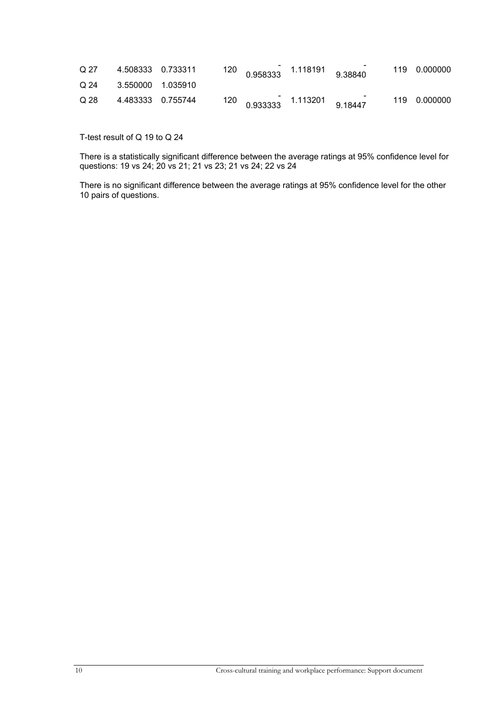| Q 27 |                     |  | $120$ 0.958333 1.118191 9.38840   |  | 119 0.000000 |
|------|---------------------|--|-----------------------------------|--|--------------|
| Q 24 | 3.550000 1.035910   |  |                                   |  |              |
| Q 28 | 4.483333   0.755744 |  | $120$ 0.933333 $1.113201$ 9.18447 |  | 119 0.000000 |

T-test result of Q 19 to Q 24

There is a statistically significant difference between the average ratings at 95% confidence level for questions: 19 vs 24; 20 vs 21; 21 vs 23; 21 vs 24; 22 vs 24

There is no significant difference between the average ratings at 95% confidence level for the other 10 pairs of questions.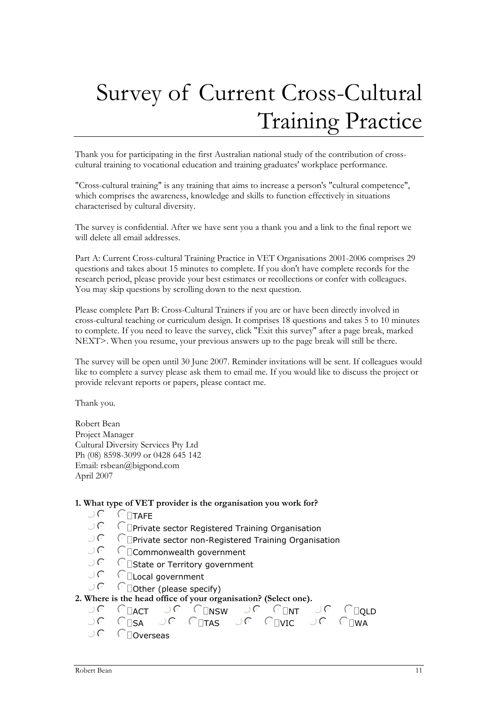# <span id="page-10-0"></span>Survey of Current Cross-Cultural Training Practice

Thank you for participating in the first Australian national study of the contribution of crosscultural training to vocational education and training graduates' workplace performance.

"Cross-cultural training" is any training that aims to increase a person's "cultural competence", which comprises the awareness, knowledge and skills to function effectively in situations characterised by cultural diversity.

The survey is confidential. After we have sent you a thank you and a link to the final report we will delete all email addresses.

Part A: Current Cross-cultural Training Practice in VET Organisations 2001-2006 comprises 29 questions and takes about 15 minutes to complete. If you don't have complete records for the research period, please provide your best estimates or recollections or confer with colleagues. You may skip questions by scrolling down to the next question.

Please complete Part B: Cross-Cultural Trainers if you are or have been directly involved in cross-cultural teaching or curriculum design. It comprises 18 questions and takes 5 to 10 minutes to complete. If you need to leave the survey, click "Exit this survey" after a page break, marked NEXT>. When you resume, your previous answers up to the page break will still be there.

The survey will be open until 30 June 2007. Reminder invitations will be sent. If colleagues would like to complete a survey please ask them to email me. If you would like to discuss the project or provide relevant reports or papers, please contact me.

Thank you.

Robert Bean Project Manager Cultural Diversity Services Pty Ltd Ph (08) 8598-3099 or 0428 645 142 Email: rsbean@bigpond.com April 2007

#### **1. What type of VET provider is the organisation you work for?**

- $\bigcup$   $\bigcap$   $\bigcap$   $\bigcap$   $\bigcap$   $\bigcap$   $\bigcap$   $\bigcap$   $\bigcap$   $\bigcap$   $\bigcap$   $\bigcap$   $\bigcap$   $\bigcap$   $\bigcap$   $\bigcap$   $\bigcap$   $\bigcap$   $\bigcap$   $\bigcap$   $\bigcap$   $\bigcap$   $\bigcap$   $\bigcap$   $\bigcap$   $\bigcap$   $\bigcap$   $\bigcap$   $\bigcap$   $\bigcap$   $\bigcap$   $\bigcap$   $\bigcap$   $\bigcap$   $\bigcap$   $\bigcap$   $\bigcap$
- $\bigcup$   $\bigcap$   $\bigcap$   $\bigcap$   $\bigcap$   $\bigcap$   $\bigcap$   $\bigcap$   $\bigcap$   $\bigcap$   $\bigcap$   $\bigcap$   $\bigcap$   $\bigcap$   $\bigcap$   $\bigcap$   $\bigcap$   $\bigcap$   $\bigcap$   $\bigcap$   $\bigcap$   $\bigcap$   $\bigcap$   $\bigcap$   $\bigcap$   $\bigcap$   $\bigcap$   $\bigcap$   $\bigcap$   $\bigcap$   $\bigcap$   $\bigcap$   $\bigcap$   $\bigcap$   $\bigcap$   $\bigcap$   $\bigcap$
- $\sqrt{a}$  Private sector non-Registered Training Organisation
- nmlkjCommonwealth government
- $\bigcup$   $\bigcap$   $\bigcap$   $\bigcap$   $\bigcap$   $\bigcap$   $\bigcap$   $\bigcap$   $\bigcap$   $\bigcap$   $\bigcap$   $\bigcap$   $\bigcap$   $\bigcap$   $\bigcap$   $\bigcap$   $\bigcap$   $\bigcap$   $\bigcap$   $\bigcap$   $\bigcap$   $\bigcap$   $\bigcap$   $\bigcap$   $\bigcap$   $\bigcap$   $\bigcap$   $\bigcap$   $\bigcap$   $\bigcap$   $\bigcap$   $\bigcap$   $\bigcap$   $\bigcap$   $\bigcap$   $\bigcap$   $\bigcap$
- $\bigcap$ Local government
- $\bigcup$   $\bigcap$   $\bigcap$   $\bigcap$   $\bigcap$   $\bigcap$   $\bigcap$   $\bigcap$   $\bigcap$   $\bigcap$   $\bigcap$   $\bigcap$   $\bigcap$   $\bigcap$   $\bigcap$   $\bigcap$   $\bigcap$   $\bigcap$   $\bigcap$   $\bigcap$   $\bigcap$   $\bigcap$   $\bigcap$   $\bigcap$   $\bigcap$   $\bigcap$   $\bigcap$   $\bigcap$   $\bigcap$   $\bigcap$   $\bigcap$   $\bigcap$   $\bigcap$   $\bigcap$   $\bigcap$   $\bigcap$   $\bigcap$

#### **2. Where is the head office of your organisation? (Select one).**

NG CHACT NG CHASW NG CHAT NG CHOLD<br>NG CHA NG CHAS NG CHAIC NG CHANA  $\Box$ SA  $\Box$   $\cap$   $\Box$ FAS  $\Box$   $\cap$   $\Box$  $\Box$  $\Box$  $\Box$  $\Box$  $or$   $C$   $\Box$ Overseas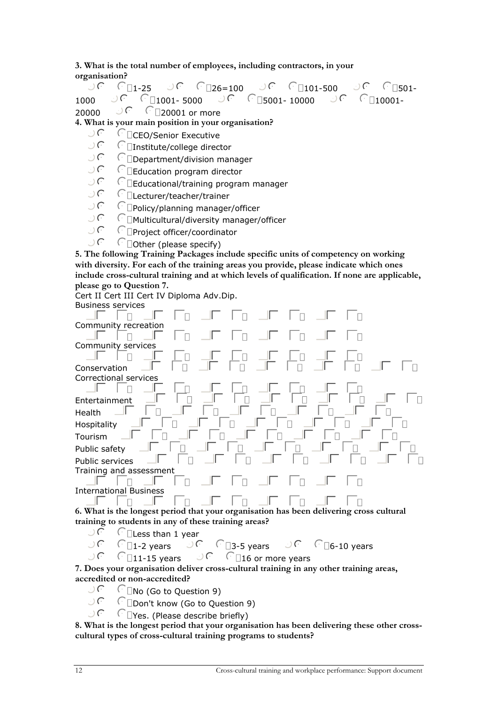**3. What is the total number of employees, including contractors, in your organisation?** 

nmlkj1-25 nmlkj26=100 nmlkj101-500 nmlkj501- <sup>1000</sup>nmlkj1001- 5000 nmlkj5001- 10000 nmlkj10001- <sup>20000</sup>nmlkj20001 or more

**4. What is your main position in your organisation?** 

- $\bigcup_{n\in\mathbb{N}}\mathbb{C}^n$   $\Box$ CEO/Senior Executive
- $\lceil \cdot \rceil$ Institute/college director
- $\bigcup$   $\bigcap$   $\bigcap$   $\bigcap$   $\bigcap$   $\bigcap$   $\bigcap$   $\bigcap$   $\bigcap$   $\bigcap$   $\bigcap$   $\bigcap$   $\bigcap$   $\bigcap$   $\bigcap$   $\bigcap$   $\bigcap$   $\bigcap$   $\bigcap$   $\bigcap$   $\bigcap$   $\bigcap$   $\bigcap$   $\bigcap$   $\bigcap$   $\bigcap$   $\bigcap$   $\bigcap$   $\bigcap$   $\bigcap$   $\bigcap$   $\bigcap$   $\bigcap$   $\bigcap$   $\bigcap$   $\bigcap$   $\bigcap$
- $\Box$ Education program director
- $\bigcup$   $\bigcap$   $\Box$ Educational/training program manager
- $\bigcup$   $\bigcap$   $\bigcap$   $\bigcap$   $\bigcap$   $\bigcap$   $\bigcap$   $\bigcap$   $\bigcap$   $\bigcap$   $\bigcap$   $\bigcap$   $\bigcap$   $\bigcap$   $\bigcap$   $\bigcap$   $\bigcap$   $\bigcap$   $\bigcap$   $\bigcap$   $\bigcap$   $\bigcap$   $\bigcap$   $\bigcap$   $\bigcap$   $\bigcap$   $\bigcap$   $\bigcap$   $\bigcap$   $\bigcap$   $\bigcap$   $\bigcap$   $\bigcap$   $\bigcap$   $\bigcap$   $\bigcap$   $\bigcap$
- $\bigcup$   $\bigcap$   $\bigcap$   $\bigcap$   $\bigcap$   $\bigcap$   $\bigcap$   $\bigcap$   $\bigcap$   $\bigcap$   $\bigcap$   $\bigcap$   $\bigcap$   $\bigcap$   $\bigcap$   $\bigcap$   $\bigcap$   $\bigcap$   $\bigcap$   $\bigcap$   $\bigcap$   $\bigcap$   $\bigcap$   $\bigcap$   $\bigcap$   $\bigcap$   $\bigcap$   $\bigcap$   $\bigcap$   $\bigcap$   $\bigcap$   $\bigcap$   $\bigcap$   $\bigcap$   $\bigcap$   $\bigcap$   $\bigcap$
- nmlkjMulticultural/diversity manager/officer
- $\bigcup$   $\bigcap$  Project officer/coordinator
- $\bigcup$   $\bigcap$   $\bigcap$   $\bigcap$   $\bigcap$   $\bigcap$   $\bigcap$   $\bigcap$   $\bigcap$   $\bigcap$   $\bigcap$   $\bigcap$   $\bigcap$   $\bigcap$   $\bigcap$   $\bigcap$   $\bigcap$   $\bigcap$   $\bigcap$   $\bigcap$   $\bigcap$   $\bigcap$   $\bigcap$   $\bigcap$   $\bigcap$   $\bigcap$   $\bigcap$   $\bigcap$   $\bigcap$   $\bigcap$   $\bigcap$   $\bigcap$   $\bigcap$   $\bigcap$   $\bigcap$   $\bigcap$   $\bigcap$

**5. The following Training Packages include specific units of competency on working with diversity. For each of the training areas you provide, please indicate which ones include cross-cultural training and at which levels of qualification. If none are applicable, please go to Question 7.** 

Cert II Cert III Cert IV Diploma Adv.Dip.



**training to students in any of these training areas?**<br> $\bigcup$   $\bigcap$   $\bigcap$   $\bigcap$   $\bigcap$   $\bigcap$   $\bigcap$   $\bigcap$   $\bigcap$   $\bigcap$   $\bigcap$   $\bigcap$   $\bigcap$ 

 $\sqrt{\frac{m}{\epsilon}}$  Less than 1 year

 $\bigcup$   $\bigcap$   $\bigcap$   $\bigcap$   $\bigcap$   $\bigcap$   $\bigcap$   $\bigcap$   $\bigcap$   $\bigcap$   $\bigcap$   $\bigcap$   $\bigcap$   $\bigcap$   $\bigcap$   $\bigcap$   $\bigcap$   $\bigcap$   $\bigcap$   $\bigcap$   $\bigcap$   $\bigcap$   $\bigcap$   $\bigcap$   $\bigcap$   $\bigcap$   $\bigcap$   $\bigcap$   $\bigcap$   $\bigcap$   $\bigcap$   $\bigcap$   $\bigcap$   $\bigcap$   $\bigcap$   $\bigcap$   $\bigcap$ 

 $\bigcirc$   $\cap$   $\Box$ 11-15 years  $\bigcirc$   $\cap$   $\Box$ 16 or more years

**7. Does your organisation deliver cross-cultural training in any other training areas, accredited or non-accredited?** 

- $\bigcup_{i=1}^{n} \bigcap_{i=1}^{n} N_0$  (Go to Question 9)<br> $\bigcup_{i=1}^{n} \bigcap_{i=1}^{n}$  know (Go to Oug
- $\widehat{\mathcal{C}}$  Don't know (Go to Question 9)
- $\bigcup$   $\bigcap$   $\bigcap$   $\bigcap$   $\bigcap$   $\bigcap$   $\bigcap$   $\bigcap$   $\bigcap$   $\bigcap$   $\bigcap$   $\bigcap$   $\bigcap$   $\bigcap$   $\bigcap$   $\bigcap$   $\bigcap$   $\bigcap$   $\bigcap$   $\bigcap$   $\bigcap$   $\bigcap$   $\bigcap$   $\bigcap$   $\bigcap$   $\bigcap$   $\bigcap$   $\bigcap$   $\bigcap$   $\bigcap$   $\bigcap$   $\bigcap$   $\bigcap$   $\bigcap$   $\bigcap$   $\bigcap$   $\bigcap$

**8. What is the longest period that your organisation has been delivering these other crosscultural types of cross-cultural training programs to students?**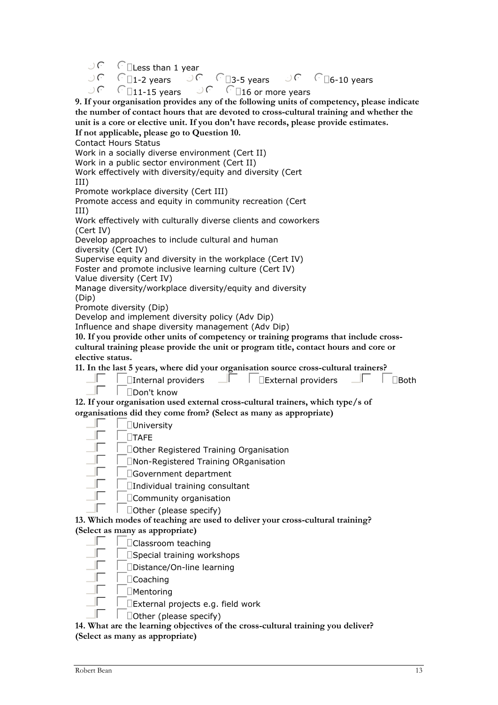$\bigcup$   $C$   $\Box$  Less than 1 year

 $\bigcirc$   $\bigcirc$   $\bigcirc$   $\bigcirc$   $\bigcirc$   $\bigcirc$   $\bigcirc$   $\bigcirc$   $\bigcirc$   $\bigcirc$   $\bigcirc$   $\bigcirc$   $\bigcirc$   $\bigcirc$   $\bigcirc$   $\bigcirc$   $\bigcirc$   $\bigcirc$   $\bigcirc$   $\bigcirc$   $\bigcirc$   $\bigcirc$   $\bigcirc$   $\bigcirc$   $\bigcirc$   $\bigcirc$   $\bigcirc$   $\bigcirc$   $\bigcirc$   $\bigcirc$   $\bigcirc$   $\bigcirc$   $\bigcirc$   $\bigcirc$   $\bigcirc$   $\bigcirc$   $\bigcirc$  $\bigcap_{11-15}$  years  $\bigcup$   $\bigcap$   $\bigcap_{16}$  or more years

**9. If your organisation provides any of the following units of competency, please indicate the number of contact hours that are devoted to cross-cultural training and whether the unit is a core or elective unit. If you don't have records, please provide estimates.** 

**If not applicable, please go to Question 10.**  Contact Hours Status

Work in a socially diverse environment (Cert II)

Work in a public sector environment (Cert II)

Work effectively with diversity/equity and diversity (Cert

III)

Promote workplace diversity (Cert III)

Promote access and equity in community recreation (Cert III)

Work effectively with culturally diverse clients and coworkers (Cert IV)

Develop approaches to include cultural and human diversity (Cert IV)

Supervise equity and diversity in the workplace (Cert IV) Foster and promote inclusive learning culture (Cert IV)

Value diversity (Cert IV)

Manage diversity/workplace diversity/equity and diversity (Dip)

Promote diversity (Dip)

Develop and implement diversity policy (Adv Dip)

Influence and shape diversity management (Adv Dip)

**10. If you provide other units of competency or training programs that include crosscultural training please provide the unit or program title, contact hours and core or elective status.** 

**11. In the last 5 years, where did your organisation source cross-cultural trainers?** 

|  | $\Box \Box$   $\Box$ Internal providers $\Box \Box$   $\Box$ External providers $\Box \Box$   $\Box$ Both |  |
|--|-----------------------------------------------------------------------------------------------------------|--|
|  |                                                                                                           |  |

**12. If your organisation used external cross-cultural trainers, which type/s of organisations did they come from? (Select as many as appropriate)** 

| $\square$ University |
|----------------------|
|                      |

| 'TAFF |
|-------|
|       |

 $\Box$   $\Box$   $\Box$  Other Registered Training Organisation

gfedcNon-Registered Training ORganisation

- $\Gamma$   $\Box$  Government department
- $\Box$   $\Box$  Individual training consultant
	- $\Box$ Community organisation
- gfedcOther (please specify)

**13. Which modes of teaching are used to deliver your cross-cultural training? (Select as many as appropriate)** 

- gfedcClassroom teaching
- $\Box$   $\Box$ Special training workshops
- $\Box$ Distance/On-line learning
- $\Gamma$   $\Gamma$  Coaching
- $\Box$ Mentoring
- $\Box$ External projects e.g. field work
- gfedcOther (please specify)

**14. What are the learning objectives of the cross-cultural training you deliver? (Select as many as appropriate)**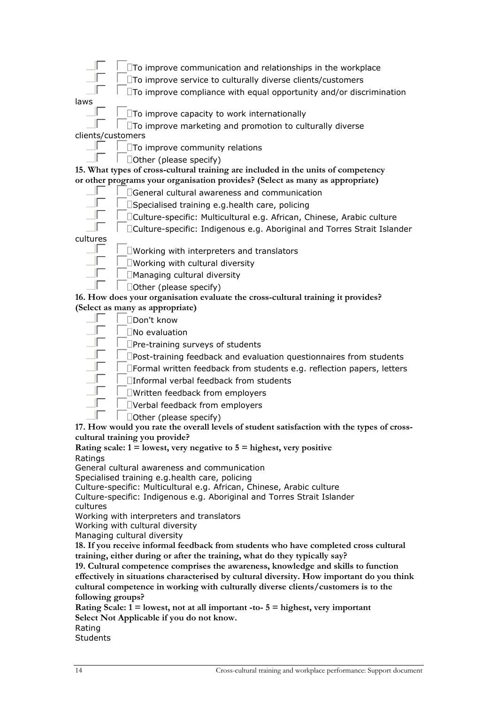- $\Box\Box\Box$ To improve communication and relationships in the workplace
	- $\Box\Box$   $\Box$  To improve service to culturally diverse clients/customers
	- $\mathbb{F}$   $\Box$ To improve compliance with equal opportunity and/or discrimination
- laws

 $\parallel$   $\parallel$   $\Box$ To improve capacity to work internationally

#### gfedcTo improve marketing and promotion to culturally diverse clients/customers

- $\Box\Box$   $\Box$   $\Box$  To improve community relations
- gfedcOther (please specify)

**15. What types of cross-cultural training are included in the units of competency or other programs your organisation provides? (Select as many as appropriate)** 

- $\Box\Box$   $\Box$  General cultural awareness and communication
- gfedcSpecialised training e.g.health care, policing
- $\Box\Box$   $\Box$   $\Box$  Culture-specific: Multicultural e.g. African, Chinese, Arabic culture
- gfedcCulture-specific: Indigenous e.g. Aboriginal and Torres Strait Islander

cultures

- $\Box$   $\Box$   $\Box$   $\Box$  Working with interpreters and translators
	- $\Box\Box$   $\Box$ Working with cultural diversity
- $\Box$   $\Box$ Managing cultural diversity
- $\Box \Box$   $\Box$  Other (please specify)

**16. How does your organisation evaluate the cross-cultural training it provides? (Select as many as appropriate)** 

- $\Box$   $\Box$ Don't know
	- $\Box$   $\Box$  No evaluation
	- $\Box$ Pre-training surveys of students
- $\mathbb{F}$   $\Box$ Post-training feedback and evaluation questionnaires from students
- $\Box\Box$   $\Box$  Formal written feedback from students e.g. reflection papers, letters
- $\Box$   $\Box$   $\Box$  Informal verbal feedback from students
- $\Box$ T $\Box$ Written feedback from employers
- $\Box$   $\Box$ Verbal feedback from employers
- gfedcOther (please specify)

**17. How would you rate the overall levels of student satisfaction with the types of crosscultural training you provide?** 

**Rating scale: 1 = lowest, very negative to 5 = highest, very positive**  Ratings

General cultural awareness and communication

Specialised training e.g.health care, policing

Culture-specific: Multicultural e.g. African, Chinese, Arabic culture

Culture-specific: Indigenous e.g. Aboriginal and Torres Strait Islander cultures

Working with interpreters and translators

Working with cultural diversity

Managing cultural diversity

**18. If you receive informal feedback from students who have completed cross cultural training, either during or after the training, what do they typically say?** 

**19. Cultural competence comprises the awareness, knowledge and skills to function effectively in situations characterised by cultural diversity. How important do you think cultural competence in working with culturally diverse clients/customers is to the following groups?** 

**Rating Scale: 1 = lowest, not at all important -to- 5 = highest, very important Select Not Applicable if you do not know.**  Rating

**Students**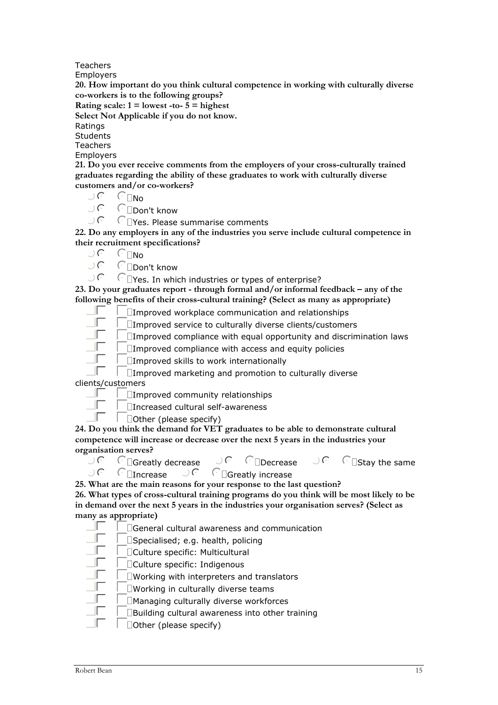Teachers

Employers

**20. How important do you think cultural competence in working with culturally diverse co-workers is to the following groups?** 

**Rating scale:**  $1 =$  lowest -to-  $5 =$  highest

**Select Not Applicable if you do not know.** 

Ratings

**Students** 

Teachers

Employers

**21. Do you ever receive comments from the employers of your cross-culturally trained graduates regarding the ability of these graduates to work with culturally diverse customers and/or co-workers?**<br> $\bigcirc$   $\bigcirc$   $\bigcirc$   $\bigcirc$   $\bigcirc$   $\bigcirc$   $\bigcirc$ 

und C<sub>INo</sub><br>Und Cind

 $\bigcup_{n=0}^{\infty}$   $\bigcap_{n=0}^{\infty}$  contribution between  $\bigcup_{n=0}^{\infty}$  contribution between  $\bigcup_{n=0}^{\infty}$  contribution between  $\bigcup_{n=0}^{\infty}$  contribution between  $\bigcup_{n=0}^{\infty}$  contribution between  $\bigcup_{n=0}^{\infty}$  cont

 $\sqrt{a}$  Tyes. Please summarise comments

**22. Do any employers in any of the industries you serve include cultural competence in their recruitment specifications?** 

- $C_{\square}$ No
- $\bigcup_{n\in\mathbb{N}}$   $\bigcap_{n\in\mathbb{N}}$   $\bigcap_{n\in\mathbb{N}}$   $\bigcap_{n\in\mathbb{N}}$   $\bigcap_{n\in\mathbb{N}}$   $\bigcap_{n\in\mathbb{N}}$

 $\Omega$  Tres. In which industries or types of enterprise?

**23. Do your graduates report - through formal and/or informal feedback – any of the following benefits of their cross-cultural training? (Select as many as appropriate)** 

 $\Box\Box$   $\Box$  Improved workplace communication and relationships

 $\Box\Box$   $\Box$  Improved service to culturally diverse clients/customers

 $\mathbb{F}$   $\Box$ Improved compliance with equal opportunity and discrimination laws

 $\Box$   $\Box$   $\Box$  Improved compliance with access and equity policies

 $\Gamma$   $\Box$  Improved skills to work internationally

 $\Box$ Improved marketing and promotion to culturally diverse clients/customers

 $\Box$   $\Box$   $\Box$  Improved community relationships

 $\Box$   $\Box$   $\Box$  Increased cultural self-awareness

gfedcOther (please specify)

**24. Do you think the demand for VET graduates to be able to demonstrate cultural competence will increase or decrease over the next 5 years in the industries your organisation serves?** 

 $\overline{C}$  in decrease  $\overline{C}$  of  $\overline{C}$  in pecrease  $\overline{C}$  is  $\overline{C}$  is  $\overline{C}$  is the same  $\bigcup$   $\bigcap$   $\bigcap$   $\bigcap$   $\bigcap$   $\bigcap$   $\bigcap$   $\bigcap$   $\bigcap$   $\bigcap$   $\bigcap$   $\bigcap$   $\bigcap$   $\bigcap$   $\bigcap$   $\bigcap$   $\bigcap$   $\bigcap$   $\bigcap$   $\bigcap$   $\bigcap$   $\bigcap$   $\bigcap$   $\bigcap$   $\bigcap$   $\bigcap$   $\bigcap$   $\bigcap$   $\bigcap$   $\bigcap$   $\bigcap$   $\bigcap$   $\bigcap$   $\bigcap$   $\bigcap$   $\bigcap$   $\bigcap$ 

**25. What are the main reasons for your response to the last question?** 

**26. What types of cross-cultural training programs do you think will be most likely to be in demand over the next 5 years in the industries your organisation serves? (Select as many as appropriate)** 

 $\Box\Box$   $\Box$   $\Box$  General cultural awareness and communication

 $\Box \Box$   $\Box$ Specialised; e.g. health, policing

 $\Box\Box$   $\Box$ Culture specific: Multicultural

gfedcCulture specific: Indigenous

 $\mathbb{F}$   $\Box$ Working with interpreters and translators

 $\mathbb{F}$   $\Box$ Working in culturally diverse teams

- $\mathbb{F}$   $\Box$  Managing culturally diverse workforces
- $\Box\Box$   $\Box$ Building cultural awareness into other training
- $\Box$ Other (please specify)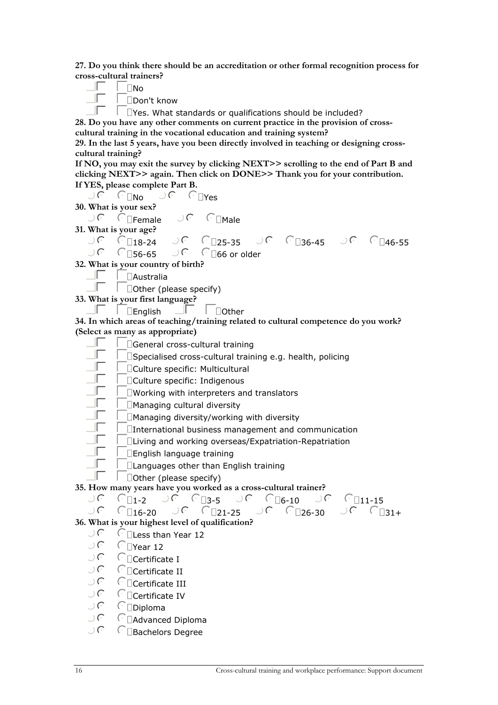**27. Do you think there should be an accreditation or other formal recognition process for cross-cultural trainers?** 

| ∣ ∣No               |
|---------------------|
| □Don't know         |
| $V_{aa}$ $M/k_{ab}$ |

 $\Box$  Tes. What standards or qualifications should be included?

**28. Do you have any other comments on current practice in the provision of crosscultural training in the vocational education and training system?** 

**29. In the last 5 years, have you been directly involved in teaching or designing crosscultural training?** 

**If NO, you may exit the survey by clicking NEXT>> scrolling to the end of Part B and clicking NEXT>> again. Then click on DONE>> Thank you for your contribution. If YES, please complete Part B.** 

nmlkjNo nmlkjYes

**30. What is your sex?** 

nmlkjFemale nmlkjMale **31. What is your age?**  nmlkj18-24 nmlkj25-35 nmlkj36-45 nmlkj46-55  $\bigcup$   $\bigcap$   $56-65$   $\bigcup$   $\bigcap$   $\bigcap$   $66$  or older

**32. What is your country of birth?** 

 $\Box$   $\Box$ Australia

gfedcOther (please specify)

**33. What is your first language?** 

 $\Box\Box\Box$ English  $\Box\Box\Box$ Other

**34. In which areas of teaching/training related to cultural competence do you work? (Select as many as appropriate)** 

- $\Box\Box\Box$ General cross-cultural training
	- $\Box$   $\Box$   $\Box$  Specialised cross-cultural training e.g. health, policing
- gfedcCulture specific: Multicultural
- gfedcCulture specific: Indigenous
- $\Box\Box$   $\Box$  Working with interpreters and translators
- $\Box$   $\Box$ Managing cultural diversity
- $\mathbb{F}$   $\Box$  Managing diversity/working with diversity
- $\Box\Box$   $\Box$ International business management and communication
- gfedcLiving and working overseas/Expatriation-Repatriation
- $\Box$ English language training
- gfedcLanguages other than English training
	- $\Box$ Other (please specify)

**35. How many years have you worked as a cross-cultural trainer?** 

**36. What is your highest level of qualification?** 

- $\bigcup_{i} \bigcap_{i} \bigcap_{i} \bigcup_{i} \bigcap_{i} \bigcap_{i} \bigcap_{i} \bigcap_{i} \bigcap_{i} \bigcap_{i} \bigcap_{i} \bigcap_{i} \bigcap_{i} \bigcap_{i} \bigcap_{i} \bigcap_{i} \bigcap_{i} \bigcap_{i} \bigcap_{i} \bigcap_{i} \bigcap_{i} \bigcap_{i} \bigcap_{i} \bigcap_{i} \bigcap_{i} \bigcap_{i} \bigcap_{i} \bigcap_{i} \bigcap_{i} \bigcap_{i} \bigcap_{i} \bigcap_{i} \bigcap_{i} \bigcap_{i} \bigcap_{i} \bigcap_{i} \bigcap_{$
- $\Gamma$  TYear 12
- $\bigcup$   $\bigcap$   $\bigcap$   $\bigcap$   $\bigcap$   $\bigcap$   $\bigcap$   $\bigcap$   $\bigcap$   $\bigcap$   $\bigcap$   $\bigcap$   $\bigcap$   $\bigcap$   $\bigcap$   $\bigcap$   $\bigcap$   $\bigcap$   $\bigcap$   $\bigcap$   $\bigcap$   $\bigcap$   $\bigcap$   $\bigcap$   $\bigcap$   $\bigcap$   $\bigcap$   $\bigcap$   $\bigcap$   $\bigcap$   $\bigcap$   $\bigcap$   $\bigcap$   $\bigcap$   $\bigcap$   $\bigcap$   $\bigcap$
- $\bigcup C$   $\cap$   $\bigcap$  Certificate II
- $\bigcup C$   $\cap$   $\bigcap$  Certificate III
- $\bigcup_{n\geq 0} C_n$  is C intertificate IV
- $CD$ iploma
- $\bigcup$   $\bigcap$   $\Box$  Advanced Diploma
- $\bigcup$   $\bigcap$  Bachelors Degree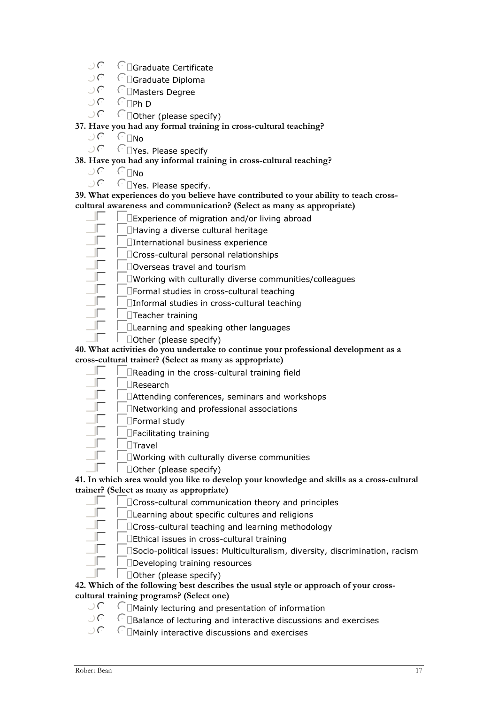- $\bigcup$   $\bigcap$  Graduate Certificate
- $\bigcup_{i\in\mathbb{C}}\bigcap_{i\in\mathbb{C}}G$  and  $\bigcap_{i\in\mathbb{C}}\text{C}$  and  $\bigcap_{i\in\mathbb{C}}G$  and  $\bigcap_{i\in\mathbb{C}}G$  and  $\bigcap_{i\in\mathbb{C}}G$  and  $\bigcap_{i\in\mathbb{C}}G$  and  $\bigcap_{i\in\mathbb{C}}G$  and  $\bigcap_{i\in\mathbb{C}}G$  and  $\bigcap_{i\in\mathbb{C}}G$  and  $\bigcap_{i\in\mathbb{C}}G$
- nmlk<br> **Investers Degree**
- $\bigcup$   $C$   $\Box$ Ph D
- $\bigcup$   $\bigcap$   $\bigcap$   $\bigcap$   $\bigcap$   $\bigcap$   $\bigcap$   $\bigcap$   $\bigcap$   $\bigcap$   $\bigcap$   $\bigcap$   $\bigcap$   $\bigcap$   $\bigcap$   $\bigcap$   $\bigcap$   $\bigcap$   $\bigcap$   $\bigcap$   $\bigcap$   $\bigcap$   $\bigcap$   $\bigcap$   $\bigcap$   $\bigcap$   $\bigcap$   $\bigcap$   $\bigcap$   $\bigcap$   $\bigcap$   $\bigcap$   $\bigcap$   $\bigcap$   $\bigcap$   $\bigcap$   $\bigcap$

### **37. Have you had any formal training in cross-cultural teaching?**

- $\bigcup C$   $\cap$   $\cap$
- $\bigcup$   $\bigcap$   $\bigcap$  Yes. Please specify

## **38. Have you had any informal training in cross-cultural teaching?**<br> $\bigcirc$   $\bigcirc$   $\bigcirc$   $\bigcirc$   $\bigcirc$   $\bigcirc$   $\bigcirc$   $\bigcirc$

- uf find<br>uf find
	- $\Gamma$   $\Box$ Yes. Please specify.

#### **39. What experiences do you believe have contributed to your ability to teach crosscultural awareness and communication? (Select as many as appropriate)**

- $\Box\Box\Box$ Experience of migration and/or living abroad
- $\Box$   $\Box$ Having a diverse cultural heritage
- $\Box$ International business experience
- $\Box\Box$   $\Box$ Cross-cultural personal relationships
- gfedcOverseas travel and tourism
	- $\square$ Working with culturally diverse communities/colleagues
- $\Box\Box$   $\Box$  Formal studies in cross-cultural teaching
- $\Box$   $\Box$ Informal studies in cross-cultural teaching
- $\Box\Box$ Teacher training
- gfedcLearning and speaking other languages
- gfedcOther (please specify)

**40. What activities do you undertake to continue your professional development as a** 

**cross-cultural trainer? (Select as many as appropriate)** 

- $\Box\Box$   $\Box$  Reading in the cross-cultural training field
- $\Box$ Research
- $\Box\Box$   $\Box$   $\Box$ Attending conferences, seminars and workshops
- $\Box$   $\Box$   $\Box$  Networking and professional associations
- $\Box$ Formal study
- $\Box\Box$ Facilitating training
- $\begin{array}{ccc} \mathbb{F} & \begin{array}{ccc} \square\end{array} \\ \mathbb{F} & \begin{array}{ccc} \square\end{array} \end{array}$ 
	- $\square$ Working with culturally diverse communities
	- $\Box$ Other (please specify)

#### **41. In which area would you like to develop your knowledge and skills as a cross-cultural trainer? (Select as many as appropriate)**

- gfedcCross-cultural communication theory and principles
- $\Box$ Learning about specific cultures and religions
- gfedcCross-cultural teaching and learning methodology
- $\Box$   $\Box$ Ethical issues in cross-cultural training
- $\mathbb{F}$   $\Box$ Socio-political issues: Multiculturalism, diversity, discrimination, racism
- $\Gamma$  Developing training resources
- $\Box$ Other (please specify)

#### **42. Which of the following best describes the usual style or approach of your crosscultural training programs? (Select one)**

- $\bigcup$   $\bigcap$   $\bigcap$   $\bigcap$   $\bigcap$   $\bigcap$   $\bigcap$   $\bigcap$   $\bigcap$   $\bigcap$   $\bigcap$   $\bigcap$   $\bigcap$   $\bigcap$   $\bigcap$   $\bigcap$   $\bigcap$   $\bigcap$   $\bigcap$   $\bigcap$   $\bigcap$   $\bigcap$   $\bigcap$   $\bigcap$   $\bigcap$   $\bigcap$   $\bigcap$   $\bigcap$   $\bigcap$   $\bigcap$   $\bigcap$   $\bigcap$   $\bigcap$   $\bigcap$   $\bigcap$   $\bigcap$   $\bigcap$
- $\bigcup$   $\bigcap$   $\bigcap$   $B$ alance of lecturing and interactive discussions and exercises
- $\bigcup$   $\bigcap$   $\bigcap$   $\bigcap$   $\bigcap$   $\bigcap$   $\bigcap$   $\bigcap$   $\bigcap$   $\bigcap$   $\bigcap$   $\bigcap$   $\bigcap$   $\bigcap$   $\bigcap$   $\bigcap$   $\bigcap$   $\bigcap$   $\bigcap$   $\bigcap$   $\bigcap$   $\bigcap$   $\bigcap$   $\bigcap$   $\bigcap$   $\bigcap$   $\bigcap$   $\bigcap$   $\bigcap$   $\bigcap$   $\bigcap$   $\bigcap$   $\bigcap$   $\bigcap$   $\bigcap$   $\bigcap$   $\bigcap$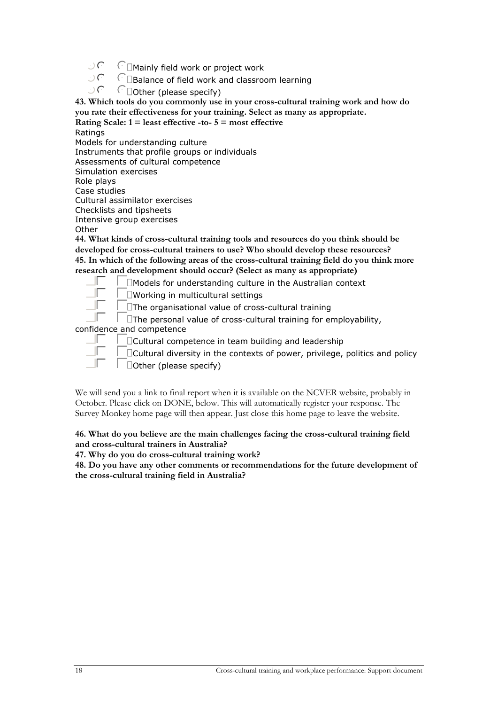- $\bigcup$   $\bigcap$   $\bigcap$   $\bigcap$   $\bigcap$   $\bigcap$   $\bigcap$   $\bigcap$   $\bigcap$   $\bigcap$   $\bigcap$   $\bigcap$   $\bigcap$   $\bigcap$   $\bigcap$   $\bigcap$   $\bigcap$   $\bigcap$   $\bigcap$   $\bigcap$   $\bigcap$   $\bigcap$   $\bigcap$   $\bigcap$   $\bigcap$   $\bigcap$   $\bigcap$   $\bigcap$   $\bigcap$   $\bigcap$   $\bigcap$   $\bigcap$   $\bigcap$   $\bigcap$   $\bigcap$   $\bigcap$   $\bigcap$
- $\bigcup$   $\bigcap$   $\bigcap$   $\bigcap$   $\bigcap$   $\bigcap$   $\bigcap$   $\bigcap$   $\bigcap$   $\bigcap$   $\bigcap$   $\bigcap$   $\bigcap$   $\bigcap$   $\bigcap$   $\bigcap$   $\bigcap$   $\bigcap$   $\bigcap$   $\bigcap$   $\bigcap$   $\bigcap$   $\bigcap$   $\bigcap$   $\bigcap$   $\bigcap$   $\bigcap$   $\bigcap$   $\bigcap$   $\bigcap$   $\bigcap$   $\bigcap$   $\bigcap$   $\bigcap$   $\bigcap$   $\bigcap$   $\bigcap$
- $\cap$  Dother (please specify)

**43. Which tools do you commonly use in your cross-cultural training work and how do you rate their effectiveness for your training. Select as many as appropriate.** 

**Rating Scale: 1 = least effective -to- 5 = most effective**  Ratings

Models for understanding culture Instruments that profile groups or individuals Assessments of cultural competence Simulation exercises Role plays Case studies Cultural assimilator exercises Checklists and tipsheets Intensive group exercises **Other** 

**44. What kinds of cross-cultural training tools and resources do you think should be developed for cross-cultural trainers to use? Who should develop these resources? 45. In which of the following areas of the cross-cultural training field do you think more research and development should occur? (Select as many as appropriate)** 

 $\Box$   $\Box$   $\Box$  Models for understanding culture in the Australian context

gfedcWorking in multicultural settings

 $\Box$ The organisational value of cross-cultural training

 $\Box$   $\Box$  The personal value of cross-cultural training for employability,

confidence and competence

gfedcCultural competence in team building and leadership

gfedcCultural diversity in the contexts of power, privilege, politics and policy gfedcOther (please specify)

We will send you a link to final report when it is available on the NCVER website, probably in October. Please click on DONE, below. This will automatically register your response. The Survey Monkey home page will then appear. Just close this home page to leave the website.

#### **46. What do you believe are the main challenges facing the cross-cultural training field and cross-cultural trainers in Australia?**

**47. Why do you do cross-cultural training work?** 

**48. Do you have any other comments or recommendations for the future development of the cross-cultural training field in Australia?**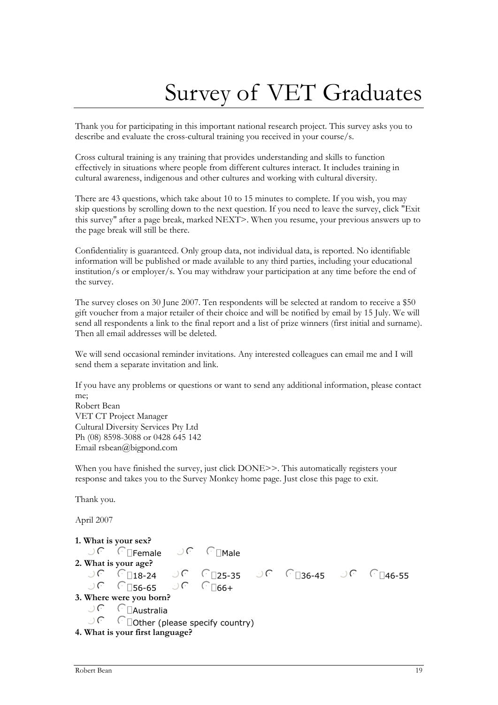# Survey of VET Graduates

<span id="page-18-0"></span>Thank you for participating in this important national research project. This survey asks you to describe and evaluate the cross-cultural training you received in your course/s.

Cross cultural training is any training that provides understanding and skills to function effectively in situations where people from different cultures interact. It includes training in cultural awareness, indigenous and other cultures and working with cultural diversity.

There are 43 questions, which take about 10 to 15 minutes to complete. If you wish, you may skip questions by scrolling down to the next question. If you need to leave the survey, click "Exit this survey" after a page break, marked NEXT>. When you resume, your previous answers up to the page break will still be there.

Confidentiality is guaranteed. Only group data, not individual data, is reported. No identifiable information will be published or made available to any third parties, including your educational institution/s or employer/s. You may withdraw your participation at any time before the end of the survey.

The survey closes on 30 June 2007. Ten respondents will be selected at random to receive a \$50 gift voucher from a major retailer of their choice and will be notified by email by 15 July. We will send all respondents a link to the final report and a list of prize winners (first initial and surname). Then all email addresses will be deleted.

We will send occasional reminder invitations. Any interested colleagues can email me and I will send them a separate invitation and link.

If you have any problems or questions or want to send any additional information, please contact me; Robert Bean VET CT Project Manager Cultural Diversity Services Pty Ltd

Ph (08) 8598-3088 or 0428 645 142 Email rsbean@bigpond.com

When you have finished the survey, just click DONE>>. This automatically registers your response and takes you to the Survey Monkey home page. Just close this page to exit.

Thank you.

April 2007

```
1. What is your sex? 
           \bigcup C \cap Female \bigcup C \cap Male
2. What is your age?<br>\bigcirc \bigcirc \bigcirc \bigcirc \bigcirc \bigcirc \bigcirc \bigcirc \bigcirc \bigcirc \bigcirc \bigcirc \bigcirc \bigcirc \bigcirc \bigcirc \bigcirc \bigcirc \bigcirc \bigcirc \bigcirc \bigcirc \bigcirc \bigcirc \bigcirc \bigcirc \bigcirc \bigcirc \bigcirc \bigcirc \bigcirc \bigcirc \bigcirc 
           ාල ලු ලු කොටික වෙලි ලබා කොටික වෙලි ගොයා වෙන බොහෝ වැනි කොටික වෙලි බොහෝ වැනි කොටික වෙලි බොහෝ වැනි කොටික වෙලි කොටි<br>බොහෝ වෙලි වෙලි කොටික වෙලි බොහෝ වැනි කොටික වෙලි බොහෝ වැනි වෙලි කොටික වෙලි වෙලි බොහෝ වැනි කොටික වෙලි බොහෝ වැනි
                                    CD56-65
3. Where were you born? 
          \bigcup \bigcap \bigcap Australia
           \bigcup \bigcap \bigcap \bigcap \bigcap \bigcap \bigcap \bigcap \bigcap \bigcap \bigcap \bigcap \bigcap \bigcap \bigcap \bigcap \bigcap \bigcap \bigcap \bigcap \bigcap \bigcap \bigcap \bigcap \bigcap \bigcap \bigcap \bigcap \bigcap \bigcap \bigcap \bigcap \bigcap \bigcap \bigcap \bigcap \bigcap4. What is your first language?
```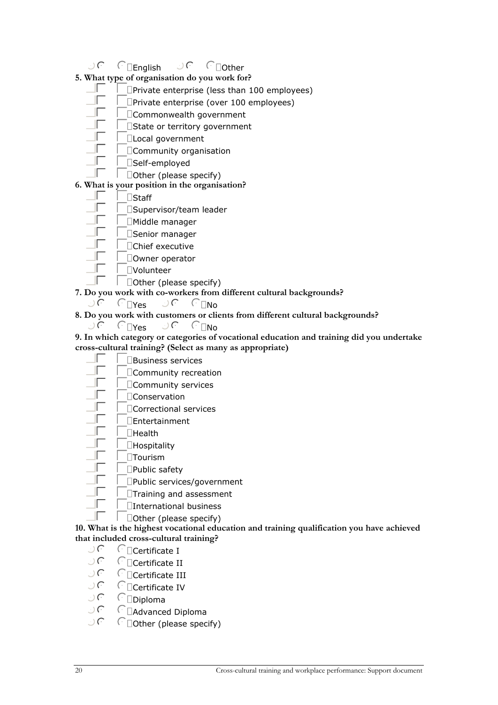- $\bigcup_{i=1}^{n} C_i$   $\bigcap_{i=1}^{n} C_i$   $\bigcap_{i=1}^{n} C_i$   $\bigcap_{i=1}^{n} C_i$   $\bigcap_{i=1}^{n} C_i$   $\bigcap_{i=1}^{n} C_i$   $\bigcap_{i=1}^{n} C_i$   $\bigcap_{i=1}^{n} C_i$   $\bigcap_{i=1}^{n} C_i$   $\bigcap_{i=1}^{n} C_i$   $\bigcap_{i=1}^{n} C_i$   $\bigcap_{i=1}^{n} C_i$   $\bigcap_{i=1}^{n} C_i$   $\bigcap_{i=1}^{n} C$
- **5. What type of organisation do you work for?** 
	- $\Box\Box$   $\Box$ Private enterprise (less than 100 employees)
	- $\Box$   $\Box$ Private enterprise (over 100 employees)
	- gfedcCommonwealth government
	- gfedcState or territory government
	- $\Box$ Local government
	- gfedcCommunity organisation
	- $\Box$   $\Box$ Self-employed
	- $\Box \Box$   $\Box$  Other (please specify)

### **6. What is your position in the organisation?**

- $\Box$   $\Box$   $\Box$   $\Box$   $\Box$   $\Box$   $\Box$ 
	- $\Box$ Supervisor/team leader
	- $\Box$ Middle manager
- $\Vert \Box$  Senior manager
- $\Gamma$   $\Box$ Chief executive
- $\Box$ Downer operator
- $\Gamma$   $\Box$ Volunteer
- gfedcOther (please specify)
- **7. Do you work with co-workers from different cultural backgrounds?** 
	- $\bigcup C$   $\bigcap$ Yes  $\bigcup C$   $\bigcap$ No
- **8. Do you work with customers or clients from different cultural backgrounds?** 
	- $\bigcup$   $\bigcap$   $\bigcap$   $\bigcap$   $\bigcap$   $\bigcap$   $\bigcap$   $\bigcap$   $\bigcap$   $\bigcap$   $\bigcap$   $\bigcap$   $\bigcap$   $\bigcap$   $\bigcap$   $\bigcap$   $\bigcap$   $\bigcap$   $\bigcap$   $\bigcap$   $\bigcap$   $\bigcap$   $\bigcap$   $\bigcap$   $\bigcap$   $\bigcap$   $\bigcap$   $\bigcap$   $\bigcap$   $\bigcap$   $\bigcap$   $\bigcap$   $\bigcap$   $\bigcap$   $\bigcap$   $\bigcap$   $\bigcap$
- **9. In which category or categories of vocational education and training did you undertake cross-cultural training? (Select as many as appropriate)** 
	- $\Box\Box$ Business services
	- gfedcCommunity recreation
	- gfedcCommunity services
	- $\Gamma$   $\Gamma$  Conservation
	- gfedcCorrectional services
	- $\Box$ Entertainment
	- $\Gamma$   $\Gamma$  Health
	- $\Box$ Hospitality
	- $\Gamma$   $\Gamma$ DTourism
	- $\Box$   $\Box$ Public safety
	- $\Box\Box$ Public services/government
	- $\Box$   $\Box$ Training and assessment
	- $\Box$ International business
	- gfedcOther (please specify)

**10. What is the highest vocational education and training qualification you have achieved that included cross-cultural training?** 

- $\bigcup C$   $\cap$   $\bigcap$  Certificate I
- $\bigcup_{i\in\mathbb{N}}\overline{C_i}$   $\cap$   $\overline{C_i}$   $\cap$   $\overline{C_i}$   $\overline{C_i}$   $\overline{C_i}$   $\overline{C_i}$   $\overline{C_i}$   $\overline{C_i}$   $\overline{C_i}$   $\overline{C_i}$   $\overline{C_i}$   $\overline{C_i}$   $\overline{C_i}$   $\overline{C_i}$   $\overline{C_i}$   $\overline{C_i}$   $\overline{C_i}$   $\overline{C_i}$   $\overline{C_i}$   $\overline{C_i}$
- $\mathcal{C}$   $\Box$ Certificate III
- $\bigcup$   $\bigcap$   $\bigcap$   $\bigcap$   $\bigcap$   $\bigcap$   $\bigcap$   $\bigcap$   $\bigcap$   $\bigcap$   $\bigcap$   $\bigcap$   $\bigcap$   $\bigcap$   $\bigcap$   $\bigcap$   $\bigcap$   $\bigcap$   $\bigcap$   $\bigcap$   $\bigcap$   $\bigcap$   $\bigcap$   $\bigcap$   $\bigcap$   $\bigcap$   $\bigcap$   $\bigcap$   $\bigcap$   $\bigcap$   $\bigcap$   $\bigcap$   $\bigcap$   $\bigcap$   $\bigcap$   $\bigcap$   $\bigcap$
- $\bigcup_{i\in\mathbb{N}}$   $\bigcap_{i\in\mathbb{N}}$   $\bigcap_{i\in\mathbb{N}}$   $\bigcap_{i\in\mathbb{N}}$   $\bigcap_{i\in\mathbb{N}}$   $\bigcap_{i\in\mathbb{N}}$   $\bigcap_{i\in\mathbb{N}}$   $\bigcap_{i\in\mathbb{N}}$   $\bigcap_{i\in\mathbb{N}}$   $\bigcap_{i\in\mathbb{N}}$   $\bigcap_{i\in\mathbb{N}}$   $\bigcap_{i\in\mathbb{N}}$   $\bigcap_{i\in\mathbb{N}}$   $\bigcap_{i\in\mathbb{N$
- $\bigcup_{n\in\mathbb{N}}\bigcap_{n=0}^{\infty}A$ dvanced Diploma
- $\Box$ Other (please specify)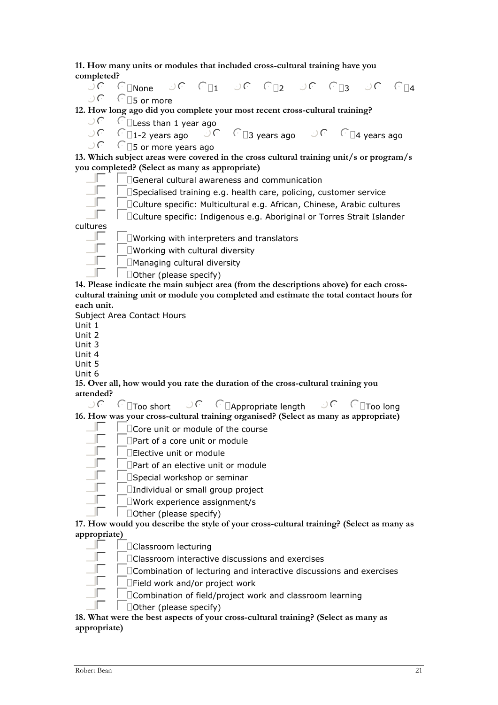**11. How many units or modules that included cross-cultural training have you completed?** 

 $\bigcup_{i=1}^{n}$   $\bigcap_{i=1}^{n}$   $\bigcap_{i=1}^{n}$   $\bigcap_{i=1}^{n}$   $\bigcap_{i=1}^{n}$   $\bigcap_{i=1}^{n}$   $\bigcap_{i=1}^{n}$   $\bigcap_{i=1}^{n}$   $\bigcap_{i=1}^{n}$   $\bigcap_{i=1}^{n}$   $\bigcap_{i=1}^{n}$   $\bigcap_{i=1}^{n}$   $\bigcap_{i=1}^{n}$   $\bigcap_{i=1}^{n}$   $\bigcap_{i=1}^{n}$   $\bigcap_{i=1}^{n$  $\sqrt{ }$   $\Box$ 5 or more

**12. How long ago did you complete your most recent cross-cultural training?** 

 $\bigcup_{i=1}^{n} C_i$  C  $\Box$  Less than 1 year ago  $\Box C$ 

nmlkj1-2 years ago nmlkj3 years ago nmlkj4 years ago

 $\sqrt{ }$   $\Box$ 5 or more years ago

**13. Which subject areas were covered in the cross cultural training unit/s or program/s you completed? (Select as many as appropriate)** 

 $\Box\Box$  General cultural awareness and communication<br> $\Box\Box$  Specialised training e.g. bealth care, policing, cu

 $\frac{1}{\sqrt{2}}$  Specialised training e.g. health care, policing, customer service

DCulture specific: Multicultural e.g. African, Chinese, Arabic cultures

gfedcCulture specific: Indigenous e.g. Aboriginal or Torres Strait Islander

cultures

 $\Box\Box\quad$   $\Box$  Working with interpreters and translators

 $\Box$   $\Box$  Working with cultural diversity

 $\Box$   $\Box$ Managing cultural diversity

gfedcOther (please specify)

**14. Please indicate the main subject area (from the descriptions above) for each crosscultural training unit or module you completed and estimate the total contact hours for each unit.** 

Subject Area Contact Hours

Unit 1

Unit 2

Unit 3 Unit 4

Unit 5

Unit 6

**15. Over all, how would you rate the duration of the cross-cultural training you attended?** 

nmlkjToo short nmlkjAppropriate length nmlkjToo long

**16. How was your cross-cultural training organised? (Select as many as appropriate)** 

- gfedcCore unit or module of the course
	- gfedcPart of a core unit or module

 $\Box\Box$   $\Box$  Elective unit or module

gfedcPart of an elective unit or module

### gfedcSpecial workshop or seminar

- $\Box\Box$ Individual or small group project
- $\Gamma$  DWork experience assignment/s
	- $\Box$ Other (please specify)

**17. How would you describe the style of your cross-cultural training? (Select as many as appropriate)** 

 $\Box$   $\Box$ Classroom lecturing

gfedcClassroom interactive discussions and exercises

 $\mathbb{F}$   $\Box$  Combination of lecturing and interactive discussions and exercises

 $\Box$ Field work and/or project work

gfedcCombination of field/project work and classroom learning

gfedcOther (please specify)

**18. What were the best aspects of your cross-cultural training? (Select as many as appropriate)**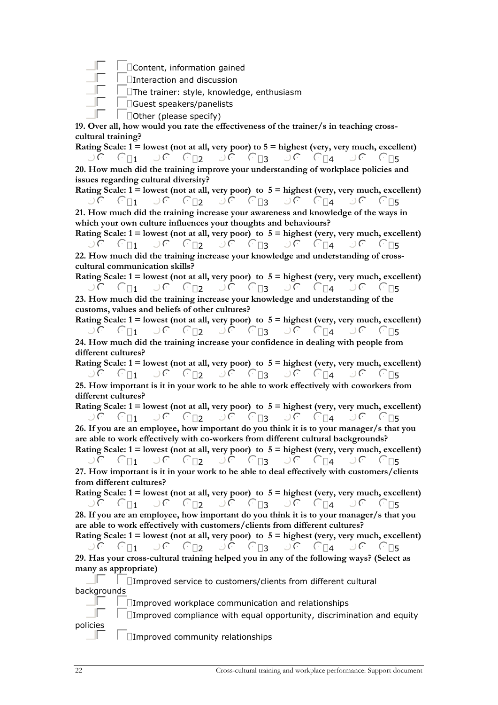gfedcContent, information gained

 $\Box$   $\Box$  Interaction and discussion

 $\Box\Box$ The trainer: style, knowledge, enthusiasm

 $\Box\Box\Box$ Guest speakers/panelists

gfedcOther (please specify)

**19. Over all, how would you rate the effectiveness of the trainer/s in teaching crosscultural training?** 

**Rating Scale: 1 = lowest (not at all, very poor) to 5 = highest (very, very much, excellent)**   $\mathbb{R}$  nmlkj $\mathbb{C}_{\square 1}$  of  $\mathbb{C}_{\square 2}$  of  $\mathbb{C}_{\square 3}$  of  $\mathbb{C}_{\square 4}$  of  $\mathbb{C}_{\square 5}$ **20. How much did the training improve your understanding of workplace policies and issues regarding cultural diversity?** 

**Rating Scale: 1 = lowest (not at all, very poor) to 5 = highest (very, very much, excellent)**   $\begin{array}{ccc}\n\mathbb{C} & \mathbb{C} & \mathbb{C} & \mathbb{C} & \mathbb{C} \\
\mathbb{C} & \mathbb{C} & \mathbb{C} & \mathbb{C} & \mathbb{C} \\
\mathbb{C} & \mathbb{C} & \mathbb{C} & \mathbb{C} & \mathbb{C} \\
\mathbb{C} & \mathbb{C} & \mathbb{C} & \mathbb{C} & \mathbb{C} \\
\mathbb{C} & \mathbb{C} & \mathbb{C} & \mathbb{C} & \mathbb{C} \\
\mathbb{C} & \mathbb{C} & \mathbb{C} & \mathbb{C} & \mathbb{C} \\
\math$ **21. How much did the training increase your awareness and knowledge of the ways in which your own culture influences your thoughts and behaviours?** 

**Rating Scale: 1 = lowest (not at all, very poor) to 5 = highest (very, very much, excellent)**   $\mathbb{R}$  nmlking  $\mathbb{R}$  nmlking  $\mathbb{R}$  nmlking  $\mathbb{R}$  nmlkings  $\mathbb{R}$  nmlkings  $\mathbb{R}$  nmlkings  $\mathbb{R}$  nmlkings  $\mathbb{R}$  nmlkings  $\mathbb{R}$  nmlkings  $\mathbb{R}$  nmlkings  $\mathbb{R}$  nmlkings  $\mathbb{R}$  nmlkings  $\mathbb{R}$ 

**22. How much did the training increase your knowledge and understanding of crosscultural communication skills?** 

**Rating Scale: 1 = lowest (not at all, very poor) to 5 = highest (very, very much, excellent)**  nmlkj1 nmlkj2 nmlkj3 nmlkj4 nmlkj<sup>5</sup> **23. How much did the training increase your knowledge and understanding of the customs, values and beliefs of other cultures?** 

**Rating Scale: 1 = lowest (not at all, very poor) to 5 = highest (very, very much, excellent)**   $\mathbb{R}$  nmlkj $\mathbb{C}_{11}$  of  $\mathbb{C}_{12}$  of  $\mathbb{C}_{13}$  of  $\mathbb{C}_{14}$  of  $\mathbb{C}_{15}$ **24. How much did the training increase your confidence in dealing with people from different cultures?** 

**Rating Scale: 1 = lowest (not at all, very poor) to 5 = highest (very, very much, excellent)**   $\cup$   $\subset$   $\cap$   $\cap$   $\subset$   $\cap$   $\subset$   $\cap$   $\subset$   $\cap$   $\cap$   $\subset$   $\cap$   $\cap$   $\subset$   $\cap$   $\cap$   $\subset$   $\cap$   $\cap$   $\subset$   $\cap$   $\cap$   $\subset$   $\cap$   $\cap$   $\subset$   $\cap$   $\cap$   $\subset$   $\cap$   $\cap$   $\subset$   $\cap$   $\cap$   $\subset$   $\cap$   $\cap$   $\subset$   $\cap$   $\cap$   $\subset$   $\cap$   $\cap$ 

**25. How important is it in your work to be able to work effectively with coworkers from different cultures?** 

**Rating Scale: 1 = lowest (not at all, very poor) to 5 = highest (very, very much, excellent)**  nmlkj1 nmlkj2 nmlkj3 nmlkj4 nmlkj<sup>5</sup>

**26. If you are an employee, how important do you think it is to your manager/s that you are able to work effectively with co-workers from different cultural backgrounds?** 

**Rating Scale: 1 = lowest (not at all, very poor) to 5 = highest (very, very much, excellent)**   $\mathbb{R}$  nmlkj $\mathbb{C}_{\square 1}$  of  $\mathbb{C}_{\square 2}$  of  $\mathbb{C}_{\square 3}$  of  $\mathbb{C}_{\square 4}$  of  $\mathbb{C}_{\square 5}$ 

**27. How important is it in your work to be able to deal effectively with customers/clients from different cultures?** 

**Rating Scale: 1 = lowest (not at all, very poor) to 5 = highest (very, very much, excellent)**  nmlkj1 nmlkj2 nmlkj3 nmlkj4 nmlkj<sup>5</sup>

**28. If you are an employee, how important do you think it is to your manager/s that you are able to work effectively with customers/clients from different cultures?** 

**Rating Scale: 1 = lowest (not at all, very poor) to 5 = highest (very, very much, excellent)**   $\overline{C}$  nmlking  $\overline{C}$  nmlking  $\overline{C}$  nmlking  $\overline{C}$  nmlking  $\overline{C}$  nmlking  $\overline{C}$  nmlking  $\overline{C}$  nmlking  $\overline{C}$  nmlking  $\overline{C}$  nmlking  $\overline{C}$  nmlking  $\overline{C}$  nmlking  $\overline{C}$  nmlking  $\overline{C}$  nmlking

**29. Has your cross-cultural training helped you in any of the following ways? (Select as many as appropriate)** 

 $\Box$   $\Box$   $\Box$  Improved service to customers/clients from different cultural backgrounds

 $\Box$   $\Box$   $\Box$  Improved workplace communication and relationships

 $\Box\Box$   $\Box$  Improved compliance with equal opportunity, discrimination and equity policies

 $\Box\Box$   $\Box$   $\Box$  Improved community relationships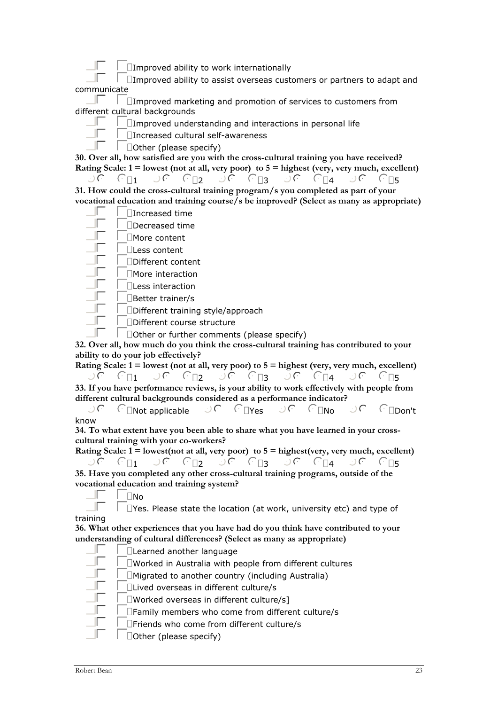$\Box$   $\Box$   $\Box$  Improved ability to work internationally

 $\Box\Box$   $\Box$  Improved ability to assist overseas customers or partners to adapt and communicate

 $\Box\Box$   $\Box$   $\Box$  Improved marketing and promotion of services to customers from different cultural backgrounds

 $\Box$   $\Box$   $\Box$ Improved understanding and interactions in personal life

 $\Box$   $\Box$ Increased cultural self-awareness

gfedcOther (please specify)

**30. Over all, how satisfied are you with the cross-cultural training you have received? Rating Scale: 1 = lowest (not at all, very poor) to 5 = highest (very, very much, excellent)** 

nmlkj1 nmlkj2 nmlkj3 nmlkj4 nmlkj<sup>5</sup> **31. How could the cross-cultural training program/s you completed as part of your vocational education and training course/s be improved? (Select as many as appropriate)** 

 $\Box\Box$   $\Box$  Increased time

 $\Box$ Decreased time

 $\Gamma$   $\Box$ More content

 $\Box$   $\Box$   $\Box$  Less content

 $\Box$ Different content

 $\Gamma$   $\Box$ More interaction

 $\Box$   $\Box$  Less interaction

 $\Box$   $\Box$  Better trainer/s

 $\Box$ Different training style/approach

 $\Box$ Different course structure

gfedcOther or further comments (please specify)

**32. Over all, how much do you think the cross-cultural training has contributed to your ability to do your job effectively?** 

**Rating Scale: 1 = lowest (not at all, very poor) to 5 = highest (very, very much, excellent)**   $\overline{C}$ n nmlkj $\overline{C}$  nmlkj $\overline{C}$  nmlkj $\overline{C}$  nmlkj $\overline{C}$  nmlkj $\overline{C}$  nmlkj $\overline{C}$  nmlkj $\overline{C}$  nmlkj $\overline{C}$  nmlkj $\overline{C}$  nmlkj $\overline{C}$  nmlkj $\overline{C}$  nmlkj $\overline{C}$  nmlkj $\overline{C}$  nmlkj $\overline{C}$  nmlkj $\overline{C}$  n **33. If you have performance reviews, is your ability to work effectively with people from different cultural backgrounds considered as a performance indicator?** 

 $\exists C \in \Box$ Not applicable  $\Box C \in \Box$ Yes  $\Box C \in \Box$ No  $\Box C \in \Box$ Don't know

**34. To what extent have you been able to share what you have learned in your crosscultural training with your co-workers?** 

**Rating Scale: 1 = lowest(not at all, very poor) to 5 = highest(very, very much, excellent)**   $\overline{C}$ n nmlkj $\overline{C}$  nmlkj $\overline{C}$  nmlkj $\overline{C}$  nmlkj $\overline{C}$  nmlkj $\overline{C}$  nmlkj $\overline{C}$  nmlkj $\overline{C}$  nmlkj $\overline{C}$  nmlkj $\overline{C}$  nmlkj $\overline{C}$  nmlkj $\overline{C}$  nmlkj $\overline{C}$  nmlkj $\overline{C}$  nmlkj $\overline{C}$  nmlkj $\overline{C}$  n **35. Have you completed any other cross-cultural training programs, outside of the** 

**vocational education and training system?** 

 $\Gamma$   $\Box$ No

 $\Box$   $\Box$   $\Box$  Yes. Please state the location (at work, university etc) and type of training

**36. What other experiences that you have had do you think have contributed to your understanding of cultural differences? (Select as many as appropriate)** 

| □Learned another language                                         |
|-------------------------------------------------------------------|
|                                                                   |
| $\square$ Worked in Australia with people from different cultures |
| $\Box$ Migrated to another country (including Australia)          |
| □Lived overseas in different culture/s                            |
| $\square$ Worked overseas in different culture/s]                 |
| □Family members who come from different culture/s                 |
| □Friends who come from different culture/s                        |
| $\Box$ Other (please specify)                                     |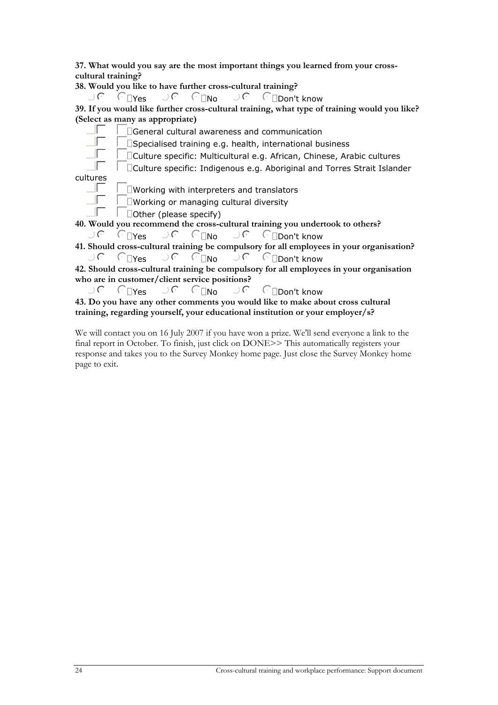**37. What would you say are the most important things you learned from your crosscultural training?** 

**38. Would you like to have further cross-cultural training?** 

 $\bigcup$   $\bigcap$   $\bigcap_{P \in S}$   $\bigcap_{P \in \bigcap_{P \in P} \cap P}$  nmlt know

**39. If you would like further cross-cultural training, what type of training would you like? (Select as many as appropriate)** 

 $\Box\Box\Box$   $\Box$  General cultural awareness and communication

 $\Box\Box$   $\Box$  Specialised training e.g. health, international business

gfedcCulture specific: Multicultural e.g. African, Chinese, Arabic cultures

gfedcCulture specific: Indigenous e.g. Aboriginal and Torres Strait Islander cultures

 $\Box\Box$   $\Box$   $\Box$  Working with interpreters and translators

 $\Box$   $\Box$   $\Box$  Working or managing cultural diversity

gfedcOther (please specify)

**40. Would you recommend the cross-cultural training you undertook to others?** 

nmlkjYes nmlkjNo nmlkjDon't know

**41. Should cross-cultural training be compulsory for all employees in your organisation?**   $\bigcup_{i=1}^{n} C_i$   $\bigcap_{i=1}^{n} N_0$   $\bigcap_{i=1}^{n} C_i$   $\bigcap_{i=1}^{n} D_0$   $\bigcap_{i=1}^{n} C_i$   $\bigcap_{i=1}^{n} D_0$   $\bigcap_{i=1}^{n} C_i$   $\bigcap_{i=1}^{n} D_0$ 

**42. Should cross-cultural training be compulsory for all employees in your organisation who are in customer/client service positions?** 

 $\bigcup$   $\bigcap_{Y \in S}$   $\bigcup$   $\bigcap_{N \in \mathbb{N}}$   $\bigcap_{N \in \mathbb{N}}$   $\bigcap_{Y \in S}$   $\bigcap_{Y \in S}$   $\bigcap_{Y \in S}$ 

**43. Do you have any other comments you would like to make about cross cultural training, regarding yourself, your educational institution or your employer/s?** 

We will contact you on 16 July 2007 if you have won a prize. We'll send everyone a link to the final report in October. To finish, just click on DONE>> This automatically registers your response and takes you to the Survey Monkey home page. Just close the Survey Monkey home page to exit.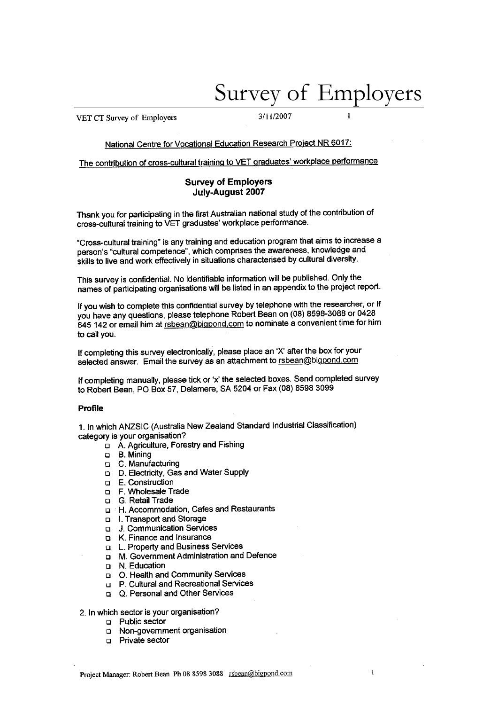# Survey of Employers

 $\mathbf{1}$ 

<span id="page-24-0"></span>VET CT Survey of Employers

3/11/2007

### National Centre for Vocational Education Research Project NR 6017:

The contribution of cross-cultural training to VET graduates' workplace performance

#### **Survey of Employers** July-August 2007

Thank you for participating in the first Australian national study of the contribution of cross-cultural training to VET graduates' workplace performance.

"Cross-cultural training" is any training and education program that aims to increase a person's "cultural competence", which comprises the awareness, knowledge and skills to live and work effectively in situations characterised by cultural diversity.

This survey is confidential. No identifiable information will be published. Only the names of participating organisations will be listed in an appendix to the project report.

If you wish to complete this confidential survey by telephone with the researcher, or If you have any questions, please telephone Robert Bean on (08) 8598-3088 or 0428 645 142 or email him at rsbean@bigpond.com to nominate a convenient time for him to call you.

If completing this survey electronically, please place an 'X' after the box for your selected answer. Email the survey as an attachment to rsbean@bigpond.com

If completing manually, please tick or 'x' the selected boxes. Send completed survey to Robert Bean, PO Box 57, Delamere, SA 5204 or Fax (08) 8598 3099

#### Profile

1. In which ANZSIC (Australia New Zealand Standard Industrial Classification) category is your organisation?

- D. A. Agriculture, Forestry and Fishing
- a B. Mining
- □ C. Manufacturing
- D. Electricity, Gas and Water Supply
- $\Box$  E. Construction
- D. F. Wholesale Trade
- **Q.** G. Retail Trade
- **D** H. Accommodation, Cafes and Restaurants
- I. Transport and Storage
- **p.** J. Communication Services
- E K. Finance and Insurance
- Q L. Property and Business Services
- □ M. Government Administration and Defence
- D N. Education
- D. Health and Community Services
- **D** P. Cultural and Recreational Services
- Q. Personal and Other Services

#### 2. In which sector is your organisation?

- **D** Public sector
- Non-government organisation
- **D** Private sector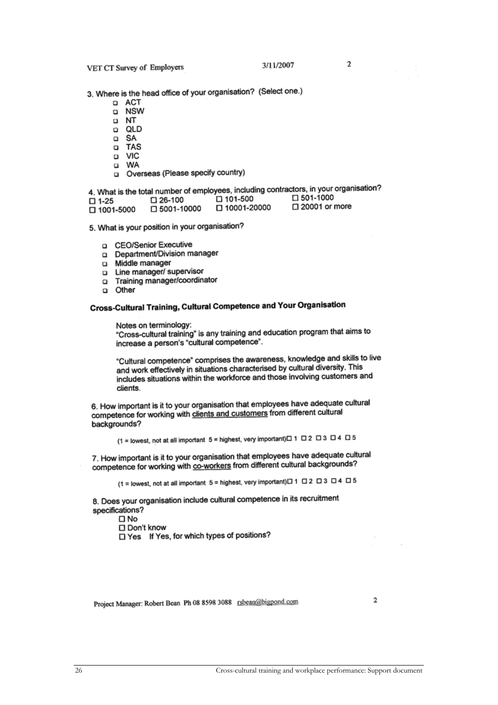3. Where is the head office of your organisation? (Select one.)

- □ ACT
- a NSW
- **D** NT
- **p** QLD
- □ SA
- a TAS
- a VIC
- u WA
- Overseas (Please specify country)

4. What is the total number of employees, including contractors, in your organisation? □ 501-1000  $\Box$  101-500  $\square$  26-100  $\square$  1-25 □ 10001-20000

- 口 5001-10000  $\Box$  1001-5000
- □ 20001 or more

5. What is your position in your organisation?

- a CEO/Senior Executive
- Department/Division manager
- n Middle manager
- Line manager/ supervisor  $\Box$
- o Training manager/coordinator
- Other  $\Omega$

### Cross-Cultural Training, Cultural Competence and Your Organisation

Notes on terminology: "Cross-cultural training" is any training and education program that aims to increase a person's "cultural competence".

"Cultural competence" comprises the awareness, knowledge and skills to live and work effectively in situations characterised by cultural diversity. This includes situations within the workforce and those involving customers and clients.

6. How important is it to your organisation that employees have adequate cultural competence for working with clients and customers from different cultural backgrounds?

(1 = lowest, not at all important  $5$  = highest, very important) $\Box$  1  $\Box$  2  $\Box$  3  $\Box$  4  $\Box$  5

7. How important is it to your organisation that employees have adequate cultural competence for working with co-workers from different cultural backgrounds?

(1 = lowest, not at all important 5 = highest, very important)□ 1 □ 2 □ 3 □ 4 □ 5

8. Does your organisation include cultural competence in its recruitment specifications?

 $\square$  No

□ Don't know

□ Yes If Yes, for which types of positions?

Project Manager: Robert Bean Ph 08 8598 3088 rsbean@bigpond.com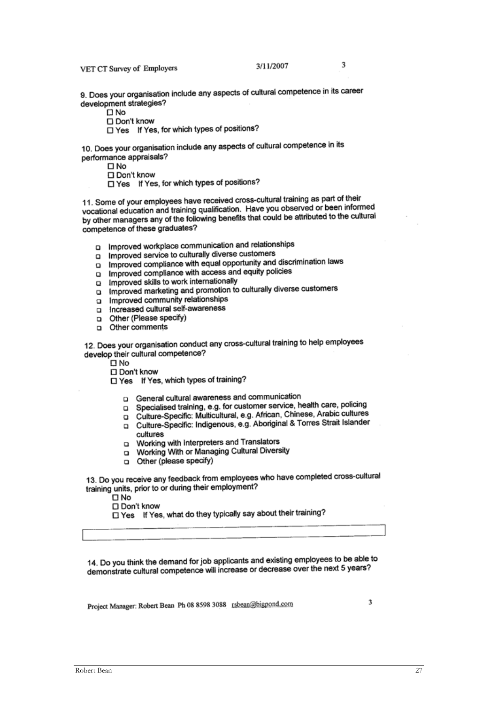VET CT Survey of Employers

 $\mathbf{\mathfrak{p}}$ 

9. Does your organisation include any aspects of cultural competence in its career development strategies?

□ No

□ Don't know

□ Yes If Yes, for which types of positions?

10. Does your organisation include any aspects of cultural competence in its performance appraisals?

 $\square$  No

Don't know

□ Yes If Yes, for which types of positions?

11. Some of your employees have received cross-cultural training as part of their vocational education and training qualification. Have you observed or been informed by other managers any of the following benefits that could be attributed to the cultural competence of these graduates?

- o Improved workplace communication and relationships
- n Improved service to culturally diverse customers
- improved compliance with equal opportunity and discrimination laws
- Improved compliance with access and equity policies
- improved skills to work internationally
- Improved marketing and promotion to culturally diverse customers  $\Box$
- Improved community relationships  $\Omega$
- Increased cultural self-awareness
- Other (Please specify)
- o Other comments

12. Does your organisation conduct any cross-cultural training to help employees develop their cultural competence?

- $\square$  No
- Don't know

□ Yes If Yes, which types of training?

- **Q** General cultural awareness and communication
- □ Specialised training, e.g. for customer service, health care, policing
- D Culture-Specific: Multicultural, e.g. African, Chinese, Arabic cultures
- n Culture-Specific: Indigenous, e.g. Aboriginal & Torres Strait Islander cultures
- o Working with Interpreters and Translators
- D Working With or Managing Cultural Diversity
- o Other (please specify)

13. Do you receive any feedback from employees who have completed cross-cultural training units, prior to or during their employment?

 $\square$  No

□ Don't know

□ Yes If Yes, what do they typically say about their training?

14. Do you think the demand for job applicants and existing employees to be able to demonstrate cultural competence will increase or decrease over the next 5 years?

Project Manager: Robert Bean Ph 08 8598 3088 rsbean@bigpond.com

3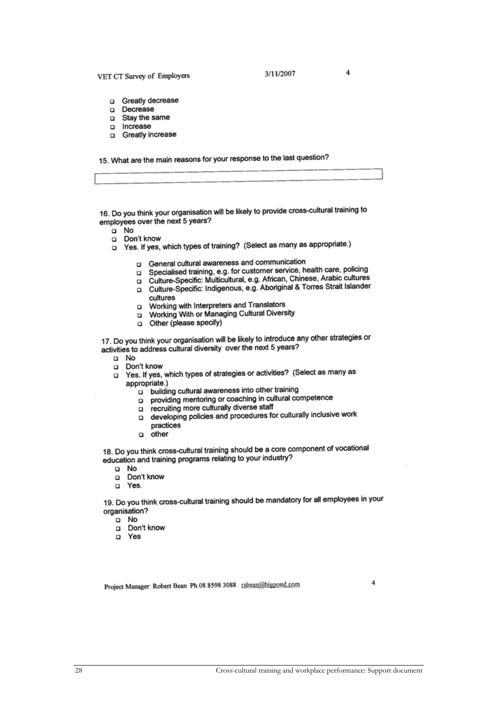#### VET CT Survey of Employers

 $\overline{4}$ 

- Greatly decrease  $\Box$
- n Decrease
- □ Stav the same
- Increase  $\Box$
- Greatly increase

15. What are the main reasons for your response to the last question?

16. Do you think your organisation will be likely to provide cross-cultural training to employees over the next 5 years?

- a No
- Don't know  $\Box$
- Yes. If yes, which types of training? (Select as many as appropriate.)  $\Box$ 
	- **Q** General cultural awareness and communication
	- Specialised training, e.g. for customer service, health care, policing  $\Box$
	- Culture-Specific: Multicultural, e.g. African, Chinese, Arabic cultures  $\Box$
	- Culture-Specific: Indigenous, e.g. Aboriginal & Torres Strait Islander cultures
	- Working with Interpreters and Translators  $\Box$
	- u Working With or Managing Cultural Diversity
	- o Other (please specify)

17. Do you think your organisation will be likely to introduce any other strategies or activities to address cultural diversity over the next 5 years?

- a No
- $\Box$ Don't know

Yes. If yes, which types of strategies or activities? (Select as many as  $\Box$ appropriate.)

- p building cultural awareness into other training
- providing mentoring or coaching in cultural competence  $\Box$
- recruiting more culturally diverse staff  $\Box$
- developing policies and procedures for culturally inclusive work  $\Box$
- practices
- $\Box$ other

18. Do you think cross-cultural training should be a core component of vocational education and training programs relating to your industry?

- a No
- Don't know  $\Box$
- D Yes.

19. Do you think cross-cultural training should be mandatory for all employees in your organisation?

 $\Box$  No

- n Don't know
- n Yes

Project Manager: Robert Bean Ph 08 8598 3088 rsbean@bigpond.com

4